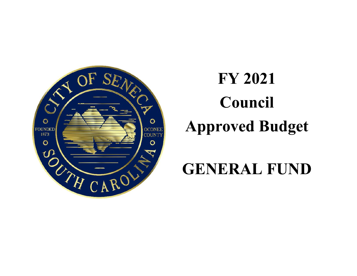

# **FY 2021 Council Approved Budget**

# **GENERAL FUND**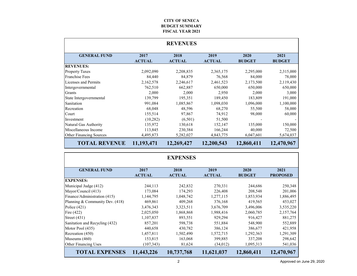#### **CITY OF SENECA BUDGET SUMMARYFISCAL YEAR 2021**

|                         |                       | <b>REVENUES</b>       |                       |                       |                       |
|-------------------------|-----------------------|-----------------------|-----------------------|-----------------------|-----------------------|
| <b>GENERAL FUND</b>     | 2017<br><b>ACTUAL</b> | 2018<br><b>ACTUAL</b> | 2019<br><b>ACTUAL</b> | 2020<br><b>BUDGET</b> | 2021<br><b>BUDGET</b> |
| <b>REVENUES:</b>        |                       |                       |                       |                       |                       |
| <b>Property Taxes</b>   | 2,092,090             | 2,208,835             | 2,365,175             | 2,295,000             | 2,315,000             |
| <b>Franchise Fees</b>   | 84,440                | 84,879                | 76,568                | 84,000                | 78,000                |
| Licenses and Permits    | 2,162,578             | 2,246,617             | 2,461,523             | 2,173,500             | 2,119,430             |
| Intergovernmental       | 762,510               | 662,887               | 650,000               | 650,000               | 650,000               |
| Grants                  | 2,000                 | 2,000                 | 2,950                 | 2,000                 | 3,000                 |
| State Intergovernmental | 139,799               | 195,351               | 189,450               | 183,809               | 191,000               |
| Sanitation              | 991,084               | 1,085,867             | 1,098,030             | 1,096,000             | 1,100,000             |
| Recreation              | 68,048                | 48,596                | 68,270                | 55,500                | 58,000                |
| Court                   | 155,514               | 97,867                | 74,912                | 98,000                | 60,000                |
| Investment              | (10, 282)             | (6,501)               | 51,500                |                       |                       |
| Natural Gas Authority   | 135,972               | 130,618               | 152,147               | 135,000               | 150,000               |
| Miscellaneous Income    | 113,845               | 230,384               | 166,244               | 40,000                | 72,500                |
| Other Financing Sources | 4,495,873             | 5,282,027             | 4,843,775             | 6,047,601             | 5,674,037             |
| <b>TOTAL REVENUE</b>    | 11,193,471            | 12,269,427            | 12,200,543            | 12,860,411            | 12,470,967            |

|                                 |                       | <b>EXPENSES</b>       |                       |                       |                         |
|---------------------------------|-----------------------|-----------------------|-----------------------|-----------------------|-------------------------|
| <b>GENERAL FUND</b>             | 2017<br><b>ACTUAL</b> | 2018<br><b>ACTUAL</b> | 2019<br><b>ACTUAL</b> | 2020<br><b>BUDGET</b> | 2021<br><b>PROPOSED</b> |
| <b>EXPENSES:</b>                |                       |                       |                       |                       |                         |
| Municipal Judge (412)           | 244,113               | 242,832               | 270,331               | 244,686               | 250,348                 |
| Mayor/Council (413)             | 173,084               | 174,293               | 226,408               | 208,548               | 201,006                 |
| Finance/Administration (415)    | 1,144,795             | 1,048,742             | 1,277,115             | 1,853,934             | 1,886,495               |
| Planning & Community Dev. (418) | 469,861               | 409,268               | 376,168               | 419,565               | 453,027                 |
| Police $(421)$                  | 3,476,343             | 3,323,511             | 3,676,709             | 3,496,006             | 3,535,220               |
| Fire $(422)$                    | 2,025,050             | 1,868,868             | 1,988,416             | 2,060,785             | 2,157,764               |
| Street $(431)$                  | 1,107,837             | 893,551               | 929,294               | 916,427               | 881,275                 |
| Sanitation and Recycling (432)  | 857,201               | 598,738               | 551,884               | 548,900               | 552,889                 |
| Motor Pool (435)                | 440,658               | 430,782               | 386,124               | 386,677               | 421,958                 |
| Recreation (450)                | 1,457,811             | 1,502,490             | 1,572,715             | 1,292,363             | 1,291,309               |
| Museums $(460)$                 | 153,815               | 163,068               | 399,885               | 337,208               | 298,642                 |
| Other Financing Uses            | (107, 343)            | 81,624                | (34,012)              | 1,095,313             | 541,036                 |
| <b>TOTAL EXPENSES</b>           | 11,443,226            | 10,737,768            | 11,621,037            | 12,860,411            | 12,470,967              |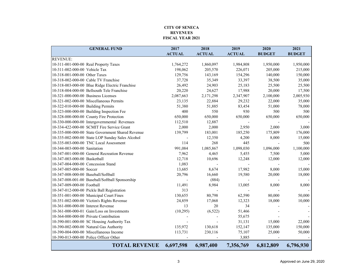#### **CITY OF SENECA REVENUESFISCAL YEAR 2021**

| <b>GENERAL FUND</b>                               | 2017          | 2018          | 2019          | 2020          | 2021          |
|---------------------------------------------------|---------------|---------------|---------------|---------------|---------------|
|                                                   | <b>ACTUAL</b> | <b>ACTUAL</b> | <b>ACTUAL</b> | <b>BUDGET</b> | <b>BUDGET</b> |
| <b>REVENUE:</b>                                   |               |               |               |               |               |
| 10-311-001-000-00 Real Property Taxes             | 1,764,272     | 1,860,097     | 1,984,808     | 1,950,000     | 1,950,000     |
| 10-311-002-000-00 Vehicle Tax                     | 198,062       | 205,570       | 226,071       | 205,000       | 215,000       |
| 10-318-001-000-00 Other Taxes                     | 129,756       | 143,169       | 154,296       | 140,000       | 150,000       |
| 10-318-002-000-00 Cable TV Franchise              | 37,728        | 35,349        | 33,397        | 38,500        | 35,000        |
| 10-318-003-000-00 Blue Ridge Electric Franchise   | 26,492        | 24,903        | 25,183        | 25,500        | 25,500        |
| 10-318-004-000-00 Bellsouth Tele Franchise        | 20,220        | 24,627        | 17,988        | 20,000        | 17,500        |
| 10-321-000-000-00 Business Licenses               | 2,087,663     | 2,171,298     | 2,347,907     | 2,100,000     | 2,005,930     |
| 10-321-002-000-00 Miscellaneous Permits           | 23,135        | 22,884        | 29,232        | 22,000        | 35,000        |
| 10-322-010-000-00 Building Permits                | 51,380        | 51,885        | 83,454        | 51,000        | 78,000        |
| 10-323-000-000-00 Building Inspection Fee         | 400           | 550           | 930           | 500           | 500           |
| 10-328-000-000-00 County Fire Protection          | 650,000       | 650,000       | 650,000       | 650,000       | 650,000       |
| 10-330-000-000-00 Intergovernmental Revenues      | 112,510       | 12,887        |               |               |               |
| 10-334-422-000-00 SCMIT Fire Service Grant        | 2,000         | 2,000         | 2,950         | 2,000         | 3,000         |
| 10-335-000-000-00 State Government Shared Revenue | 139,799       | 183,001       | 185,250       | 175,809       | 176,000       |
| 10-335-002-000-00 State LOP Sunday Sales Alcohol  |               | 12,350        | 4,200         | 8,000         | 15,000        |
| 10-335-003-000-00 TNC Local Assessment            | 114           | 268           | 445           |               | 500           |
| 10-344-003-000-00 Sanitation                      | 991,084       | 1,085,867     | 1,098,030     | 1,096,000     | 1,100,000     |
| 10-347-001-000-00 General Recreation Revenue      | 7,962         | 4,465         | 5,455         | 7,500         | 5,000         |
| 10-347-003-000-00 Basketball                      | 12,718        | 10,696        | 12,248        | 12,000        | 12,000        |
| 10-347-004-000-00 Concession Stand                | 1,083         |               |               |               |               |
| 10-347-005-000-00 Soccer                          | 13,685        | 8,674         | 17,982        | 8,000         | 15,000        |
| 10-347-008-000-00 Baseball/Softball               | 20,796        | 16,660        | 19,580        | 20,000        | 18,000        |
| 10-347-008-001-00 Baseball/Softball Sponsorship   |               | (884)         |               |               |               |
| 10-347-009-000-00 Football                        | 11,491        | 8,984         | 13,005        | 8,000         | 8,000         |
| 10-347-012-000-00 Pickle Ball Registration        | 313           |               |               |               |               |
| 10-351-001-000-00 Municipal Court Fines           | 130,655       | 80,798        | 62,590        | 80,000        | 50,000        |
| 10-351-002-000-00 Victim's Rights Revenue         | 24,859        | 17,068        | 12,323        | 18,000        | 10,000        |
| 10-361-000-000-00 Interest Revenue                | 13            | 20            | 34            |               |               |
| 10-361-000-000-01 Gain/Loss on Investments        | (10, 295)     | (6,522)       | 51,466        |               |               |
| 10-364-000-000-00 Private Contribution            |               |               | 55,675        |               |               |
| 10-390-001-000-00 SC Housing Authority Tax        |               |               | 31,131        | 15,000        | 22,000        |
| 10-390-002-000-00 Natural Gas Authority           | 135,972       | 130,618       | 152,147       | 135,000       | 150,000       |
| 10-390-004-000-00 Miscellaneous Income            | 113,731       | 230,116       | 75,107        | 25,000        | 50,000        |
| 10-390-013-000-00 Police Officer Other            |               |               | 3,885         |               |               |
| <b>TOTAL REVENUE</b>                              | 6,697,598     | 6,987,400     | 7,356,769     | 6,812,809     | 6,796,930     |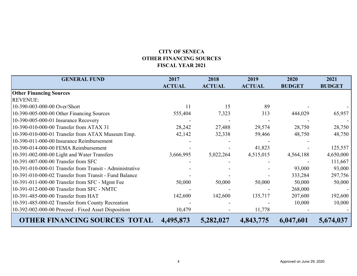# **CITY OF SENECAOTHER FINANCING SOURCES FISCAL YEAR 2021**

| <b>GENERAL FUND</b>                                      | 2017          | 2018          | 2019          | 2020          | 2021          |
|----------------------------------------------------------|---------------|---------------|---------------|---------------|---------------|
|                                                          | <b>ACTUAL</b> | <b>ACTUAL</b> | <b>ACTUAL</b> | <b>BUDGET</b> | <b>BUDGET</b> |
| <b>Other Financing Sources</b>                           |               |               |               |               |               |
| <b>REVENUE:</b>                                          |               |               |               |               |               |
| 10-390-003-000-00 Over/Short                             | 11            | 15            | 89            |               |               |
| 10-390-005-000-00 Other Financing Sources                | 555,404       | 7,323         | 313           | 444,029       | 65,957        |
| 10-390-005-000-01 Insurance Recovery                     |               |               |               |               |               |
| 10-390-010-000-00 Transfer from ATAX 31                  | 28,242        | 27,488        | 29,574        | 28,750        | 28,750        |
| 10-390-010-000-01 Transfer from ATAX Museum Emp.         | 42,142        | 32,338        | 59,466        | 48,750        | 48,750        |
| 10-390-011-000-00 Insurance Reimbursement                |               |               |               |               |               |
| 10-390-014-000-00 FEMA Reimbursement                     |               |               | 41,823        |               | 125,557       |
| 10-391-002-000-00 Light and Water Transfers              | 3,666,995     | 5,022,264     | 4,515,015     | 4,564,188     | 4,650,000     |
| 10-391-007-000-00 Transfer from SFC                      |               |               |               |               | 111,667       |
| 10-391-010-000-01 Transfer from Transit - Administrative |               |               |               | 93,000        | 93,000        |
| 10-391-010-000-02 Transfer from Transit - Fund Balance   |               |               |               | 333,284       | 297,756       |
| 10-391-011-000-00 Transfer from SFC - Mgmt Fee           | 50,000        | 50,000        | 50,000        | 50,000        | 50,000        |
| 10-391-012-000-00 Transfer from SFC - NMTC               |               |               |               | 268,000       |               |
| 10-391-485-000-00 Transfer from HAT                      | 142,600       | 142,600       | 135,717       | 207,600       | 192,600       |
| 10-391-485-000-02 Transfer from County Recreation        |               |               |               | 10,000        | 10,000        |
| 10-392-002-000-00 Proceed - Fixed Asset Disposition      | 10,479        |               | 11,778        |               |               |
| <b>OTHER FINANCING SOURCES TOTAL</b>                     | 4,495,873     | 5,282,027     | 4,843,775     | 6,047,601     | 5,674,037     |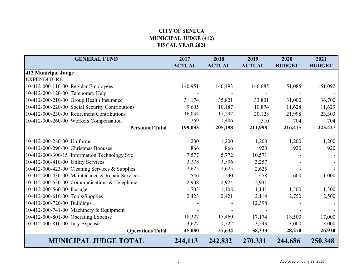# **CITY OF SENECA MUNICIPAL JUDGE (412) FISCAL YEAR 2021**

| <b>GENERAL FUND</b>                             | 2017          | 2018          | 2019          | 2020          | 2021          |
|-------------------------------------------------|---------------|---------------|---------------|---------------|---------------|
|                                                 | <b>ACTUAL</b> | <b>ACTUAL</b> | <b>ACTUAL</b> | <b>BUDGET</b> | <b>BUDGET</b> |
| 412 Municipal Judge                             |               |               |               |               |               |
| <b>EXPENDITURE:</b>                             |               |               |               |               |               |
| 10-412-000-110-00 Regular Employees             | 140,951       | 140,493       | 146,685       | 151,085       | 151,092       |
| 10-412-000-120-00 Temporary Help                |               |               |               |               |               |
| 10-412-000-210-00 Group Health Insurance        | 31,174        | 35,821        | 33,801        | 31,000        | 36,700        |
| 10-412-000-220-00 Social Security Contributions | 9,605         | 10,187        | 10,874        | 11,628        | 11,629        |
| 10-412-000-230-00 Retirement Contributions      | 16,034        | 17,292        | 20,128        | 21,998        | 23,303        |
| 10-412-000-260-00 Workers Compensation          | 1,269         | 1,406         | 510           | 704           | 704           |
| <b>Personnel Total</b>                          | 199,033       | 205,198       | 211,998       | 216,415       | 223,427       |
|                                                 |               |               |               |               |               |
| 10-412-000-280-00 Uniforms                      | 1,200         | 1,200         | 1,200         | 1,200         | 1,200         |
| 10-412-000-290-00 Christmas Bonuses             | 866           | 866           | 920           | 920           | 920           |
| 10-412-000-300-15 Information Technology Svc    | 7,577         | 5,772         | 10,571        |               |               |
| 10-412-000-410-00 Utility Services              | 3,278         | 3,506         | 3,257         |               |               |
| 10-412-000-423-00 Cleaning Services & Supplies  | 2,625         | 2,625         | 2,625         |               |               |
| 10-412-000-430-00 Maintenance & Repair Services | 546           | 230           | 458           | 600           | 1,000         |
| 10-412-000-530-00 Communications & Telephone    | 2,908         | 2,924         | 2,931         |               |               |
| 10-412-000-560-00 Postage                       | 1,703         | 1,108         | 1,141         | 1,300         | 1,300         |
| 10-412-000-610-00 Tools/Supplies                | 2,423         | 2,421         | 2,114         | 2,750         | 2,500         |
| 10-412-000-720-00 Buildings                     |               |               | 12,398        |               |               |
| 10-412-000-741-00 Machinery & Equipment         |               |               |               |               |               |
| 10-412-000-801-00 Operating Expense             | 18,327        | 15,460        | 17,174        | 18,500        | 17,000        |
| 10-412-000-810-00 Jury Expense                  | 3,627         | 1,522         | 3,543         | 3,000         | 3,000         |
| <b>Operations Total</b>                         | 45,080        | 37,634        | 58,333        | 28,270        | 26,920        |
| <b>MUNICIPAL JUDGE TOTAL</b>                    | 244,113       | 242,832       | 270,331       | 244,686       | 250,348       |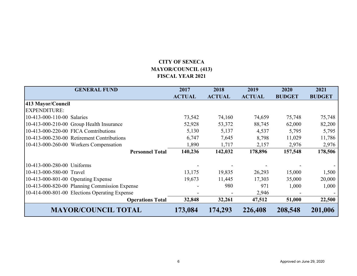# **CITY OF SENECA MAYOR/COUNCIL (413) FISCAL YEAR 2021**

| <b>GENERAL FUND</b>                           | 2017<br><b>ACTUAL</b> | 2018<br><b>ACTUAL</b> | 2019<br><b>ACTUAL</b> | 2020<br><b>BUDGET</b> | 2021<br><b>BUDGET</b> |
|-----------------------------------------------|-----------------------|-----------------------|-----------------------|-----------------------|-----------------------|
| 413 Mayor/Council                             |                       |                       |                       |                       |                       |
| <b>EXPENDITURE:</b>                           |                       |                       |                       |                       |                       |
| 10-413-000-110-00 Salaries                    | 73,542                | 74,160                | 74,659                | 75,748                | 75,748                |
| 10-413-000-210-00 Group Health Insurance      | 52,928                | 53,372                | 88,745                | 62,000                | 82,200                |
| 10-413-000-220-00 FICA Comtributions          | 5,130                 | 5,137                 | 4,537                 | 5,795                 | 5,795                 |
| 10-413-000-230-00 Retirement Contributions    | 6,747                 | 7,645                 | 8,798                 | 11,029                | 11,786                |
| 10-413-000-260-00 Workers Compensation        | 1,890                 | 1,717                 | 2,157                 | 2,976                 | 2,976                 |
| <b>Personnel Total</b>                        | 140,236               | 142,032               | 178,896               | 157,548               | 178,506               |
| 10-413-000-280-00 Uniforms                    |                       |                       |                       |                       |                       |
| 10-413-000-580-00 Travel                      | 13,175                | 19,835                | 26,293                | 15,000                | 1,500                 |
| 10-413-000-801-00 Operating Expense           | 19,673                | 11,445                | 17,303                | 35,000                | 20,000                |
| 10-413-000-820-00 Planning Commission Expense |                       | 980                   | 971                   | 1,000                 | 1,000                 |
| 10-414-000-801-00 Elections Operating Expense |                       |                       | 2,946                 |                       |                       |
| <b>Operations Total</b>                       | 32,848                | 32,261                | 47,512                | 51,000                | 22,500                |
| <b>MAYOR/COUNCIL TOTAL</b>                    | 173,084               | 174,293               | 226,408               | 208,548               | 201,006               |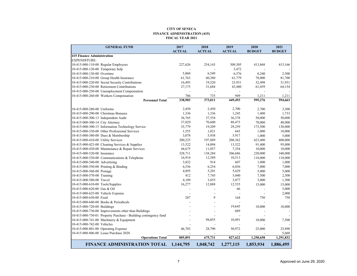#### **CITY OF SENECA FINANCE ADMINISTRATION (415) FISCAL YEAR 2021**

|                                     | <b>GENERAL FUND</b>                                             | 2017          | 2018           | 2019          | 2020          | 2021          |
|-------------------------------------|-----------------------------------------------------------------|---------------|----------------|---------------|---------------|---------------|
|                                     |                                                                 | <b>ACTUAL</b> | <b>ACTUAL</b>  | <b>ACTUAL</b> | <b>BUDGET</b> | <b>BUDGET</b> |
| <b>415 Finance Administration</b>   |                                                                 |               |                |               |               |               |
| EXPENDITURE:                        |                                                                 |               |                |               |               |               |
|                                     | 10-415-000-110-00 Regular Employees                             | 227,626       | 254,143        | 309,305       | 413,868       | 413,166       |
| 10-415-000-120-00 Temporary help    |                                                                 |               |                | 3,472         |               |               |
| 10-415-000-130-00 Overtime          |                                                                 | 5,060         | 6,549          | 6,576         | 8,240         | 2,500         |
|                                     | 10-415-000-210-00 Group Health Insurance                        | 61,763        | 60,380         | 61,779        | 78,000        | 81,700        |
|                                     | 10-415-000-220-00 Social Security Contributions                 | 16,493        | 19,520         | 23,931        | 32,498        | 31,931        |
|                                     | 10-415-000-230-00 Retirement Contributions                      | 27,175        | 31,684         | 43,480        | 61,459        | 64,154        |
|                                     | 10-415-000-250-00 Unemployment Compensation                     |               |                |               |               |               |
|                                     | 10-415-000-260-00 Workers Compensation                          | 786           | 735            | 949           | 1,211         | 1,211         |
|                                     | <b>Personnel Total</b>                                          | 338,903       | 373,011        | 449,493       | 595,276       | 594,663       |
|                                     |                                                                 |               |                |               |               |               |
| 10-415-000-280-00 Uniforms          |                                                                 | 2,450         | 2,450          | 2,700         | 2,700         | 3,300         |
| 10-415-000-290-00 Christmas Bonuses |                                                                 | 1,336         | 1,336          | 1,245         | 1,408         | 1,733         |
| 10-415-000-300-13 Independent Audit |                                                                 | 36,765        | 37,554         | 36,378        | 50,000        | 50,000        |
| 10-415-000-300-14 City Attorney     |                                                                 | 37,829        | 70,600         | 88,473        | 70,000        | 40,000        |
|                                     | 10-415-000-300-15 Information Technology Service                | 35,779        | 19,209         | 29,259        | 173,500       | 130,000       |
|                                     | 10-415-000-330-00 Other Professional Services                   | 1,555         | 1,021          | 643           | 1,000         | 10,000        |
|                                     | 10-415-000-380-00 Dues & Membership                             | 3,078         | 5,938          | 5,917         | 1,000         | 5,000         |
| 10-415-000-410-00 Utility Services  |                                                                 | 200,225       | 197,889        | 208,362       | 423,400       | 400,000       |
|                                     | 10-415-000-423-00 Cleaning Services & Supplies                  | 13,522        | 14,094         | 13,522        | 91,400        | 95,000        |
|                                     | 10-415-000-430-00 Maintenance & Repair Services                 | 44,675        | 11,057         | 7,354         | 10,000        | 10,000        |
| 10-415-000-520-00 Insurance         |                                                                 | 328,711       | 138,284        | 306,686       | 230,000       | 340,000       |
|                                     | 10-415-000-530-00 Communications & Telephone                    | 16,914        | 12,589         | 10,513        | 118,000       | 118,000       |
| 10-415-000-540-00 Advertising       |                                                                 | 3,832         | 914            | 607           | 1,000         | 1,000         |
|                                     | 10-415-000-550-00 Printing & Binding                            | 6,536         | 6,254          | 6,856         | 7,000         | 7,000         |
| 10-415-000-560-00 Postage           |                                                                 | 4,895         | 5,201          | 5,629         | 5,000         | 5,000         |
| 10-415-000-570-00 Training          |                                                                 | 412           | 7,745          | 5,040         | 7,500         | 2,500         |
| 10-415-000-580-00 Travel            |                                                                 | 4,109         | 3,855          | 3,877         | 5,000         | 1,500         |
| 10-415-000-610-00 Tools/Supplies    |                                                                 | 16,277        | 12,888         | 12,535        | 15,000        | 15,000        |
| 10-415-000-620-00 Gas & Oil         |                                                                 |               |                | 66            |               | 5,000         |
| 10-415-000-625-00 Vehicle Expense   |                                                                 |               | $\overline{a}$ |               |               | 2,000         |
| 10-415-000-630-00 Food              |                                                                 | 287           | 9              | 164           | 750           | 750           |
|                                     | 10-415-000-640-00 Books & Periodicals                           |               |                |               |               |               |
| 10-415-000-720-00 Buildings         |                                                                 |               |                | 19,645        | 10,000        | 10,000        |
|                                     | 10-415-000-730-00 Improvements other than Buildings             |               | $\overline{a}$ | 689           |               |               |
|                                     | 10-415-000-730-01 Property Purchase - Building contingency fund |               |                |               |               |               |
|                                     | 10-415-000-741-00 Machinery & Equipment                         |               | 98,055         | 10,491        | 10,000        | 7,500         |
| 10-415-000-742-00 Vehicles          |                                                                 |               |                |               |               |               |
| 10-415-000-801-00 Operating Expense |                                                                 | 46,703        | 28,790         | 50,972        | 25,000        | 25,890        |
|                                     | 10-415-000-806-00 Lease Purchase 2020                           |               |                |               |               | 5,660         |
|                                     | <b>Operations Total</b>                                         | 805,891       | 675,731        | 827,622       | 1,258,658     | 1,291,832     |
|                                     | <b>FINANCE ADMINISTRATION TOTAL</b>                             | 1,144,795     | 1,048,742      | 1,277,115     | 1,853,934     | 1,886,495     |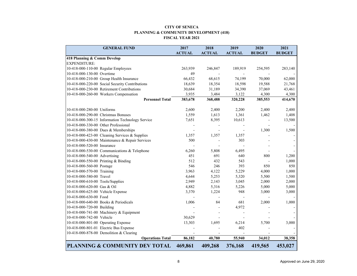#### **CITY OF SENECAPLANNING & COMMUNITY DEVELOPMENT (418) FISCAL YEAR 2021**

| <b>GENERAL FUND</b>                              | 2017          | 2018          | 2019                     | 2020          | 2021          |
|--------------------------------------------------|---------------|---------------|--------------------------|---------------|---------------|
|                                                  | <b>ACTUAL</b> | <b>ACTUAL</b> | <b>ACTUAL</b>            | <b>BUDGET</b> | <b>BUDGET</b> |
| 418 Planning & Comm Develop                      |               |               |                          |               |               |
| EXPENDITURE:                                     |               |               |                          |               |               |
| 10-418-000-110-00 Regular Employees              | 263,939       | 246,847       | 189,919                  | 254,595       | 283,140       |
| 10-418-000-130-00 Overtime                       | 49            |               | $\overline{\phantom{a}}$ |               |               |
| 10-418-000-210-00 Group Health Insurance         | 66,432        | 68,615        | 74,199                   | 70,000        | 62,000        |
| 10-418-000-220-00 Social Security Contributions  | 18,639        | 18,354        | 18,598                   | 19,588        | 21,768        |
| 10-418-000-230-00 Retirement Contributions       | 30,684        | 31,189        | 34,390                   | 37,069        | 43,461        |
| 10-418-000-260-00 Workers Compensation           | 3,935         | 3,484         | 3,122                    | 4,300         | 4,300         |
| <b>Personnel Total</b>                           | 383,678       | 368,488       | 320,228                  | 385,553       | 414,670       |
|                                                  |               |               |                          |               |               |
| 10-418-000-280-00 Uniforms                       | 2,600         | 2,400         | 2,200                    | 2,400         | 2,400         |
| 10-418-000-290-00 Christmas Bonuses              | 1,559         | 1,613         | 1,361                    | 1,462         | 1,408         |
| 10-418-000-300-15 Information Technology Service | 7,651         | 8,395         | 10,613                   |               | 13,500        |
| 10-418-000-330-00 Other Professional             |               |               |                          |               |               |
| 10-418-000-380-00 Dues & Memberships             |               |               |                          | 1,300         | 1,500         |
| 10-418-000-423-00 Cleaning Services & Supplies   | 1,357         | 1,357         | 1,357                    |               |               |
| 10-418-000-430-00 Maintenance & Repair Services  | 500           |               | 303                      |               |               |
| 10-418-000-520-00 Insurance                      |               |               |                          |               |               |
| 10-418-000-530-00 Communications & Telephone     | 6,260         | 5,808         | 6,495                    |               |               |
| 10-418-000-540-00 Advertising                    | 451           | 691           | 640                      | 800           | 1,200         |
| 10-418-000-550-00 Printing & Binding             | 512           | 432           | 543                      |               | 1,000         |
| 10-418-000-560-00 Postage                        | 546           | 246           | 393                      | 850           | 850           |
| 10-418-000-570-00 Training                       | 3,963         | 4,122         | 5,229                    | 4,000         | 1,000         |
| 10-418-000-580-00 Travel                         | 4,644         | 5,253         | 5,320                    | 5,500         | 1,500         |
| 10-418-000-610-00 Tools/Supplies                 | 2,949         | 2,143         | 3,045                    | 2,000         | 2,000         |
| 10-418-000-620-00 Gas & Oil                      | 4,882         | 5,316         | 5,226                    | 5,000         | 5,000         |
| 10-418-000-625-00 Vehicle Expense                | 3,370         | 1,224         | 948                      | 3,000         | 3,000         |
| 10-418-000-630-00 Food                           |               |               | $\overline{\phantom{a}}$ |               |               |
| 10-418-000-640-00 Books & Periodicals            | 1,006         | 84            | 681                      | 2,000         | 1,000         |
| 10-418-000-720-00 Building                       |               |               | 4,972                    |               |               |
| 10-418-000-741-00 Machinery & Equipment          |               |               |                          |               |               |
| 10-418-000-742-00 Vehicle                        | 30,629        |               |                          |               |               |
| 10-418-000-801-00 Operating Expense              | 13,303        | 1,695         | 6,214                    | 5,700         | 3,000         |
| 10-418-000-801-01 Electric Bus Expense           |               |               | 402                      |               |               |
| 10-418-000-878-00 Demolition & Clearing          |               |               |                          |               |               |
| <b>Operations Total</b>                          | 86,182        | 40,780        | 55,940                   | 34,012        | 38,358        |
| PLANNING & COMMUNITY DEV TOTAL                   | 469,861       | 409,268       | 376,168                  | 419,565       | 453,027       |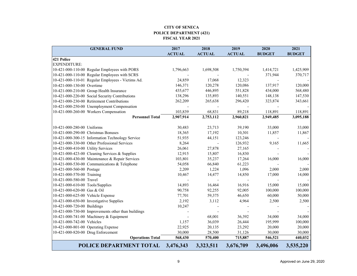#### **CITY OF SENECA POLICE DEPARTMENT (421) FISCAL YEAR 2021**

| <b>GENERAL FUND</b>                                 | 2017          | 2018          | 2019          | 2020          | 2021          |
|-----------------------------------------------------|---------------|---------------|---------------|---------------|---------------|
|                                                     | <b>ACTUAL</b> | <b>ACTUAL</b> | <b>ACTUAL</b> | <b>BUDGET</b> | <b>BUDGET</b> |
| 421 Police                                          |               |               |               |               |               |
| EXPENDITURE:                                        |               |               |               |               |               |
| 10-421-000-110-00 Regular Employees with PORS       | 1,796,663     | 1,698,508     | 1,750,394     | 1,414,721     | 1,425,909     |
| 10-421-000-110-00 Regular Employees with SCRS       |               |               |               | 371,944       | 370,717       |
| 10-421-000-110-01 Regular Employees - Victims Ad.   | 24,859        | 17,068        | 12,323        |               |               |
| 10-421-000-130-00 Overtime                          | 146,371       | 120,278       | 120,086       | 137,917       | 120,000       |
| 10-421-000-210-00 Group Health Insurance            | 435,677       | 446,895       | 551,828       | 434,000       | 568,480       |
| 10-421-000-220-00 Social Security Contributions     | 138,296       | 135,893       | 140,551       | 148,138       | 147,530       |
| 10-421-000-230-00 Retirement Contributions          | 262,209       | 265,638       | 296,420       | 323,874       | 343,661       |
| 10-421-000-250-00 Unemployment Compensation         |               |               |               |               |               |
| 10-421-000-260-00 Workers Compensation              | 103,839       | 68,831        | 89,218        | 118,891       | 118,891       |
| <b>Personnel Total</b>                              | 2,907,914     | 2,753,112     | 2,960,821     | 2,949,485     | 3,095,188     |
|                                                     |               |               |               |               |               |
| 10-421-000-280-00 Uniforms                          | 30,483        | 23,713        | 39,190        | 33,000        | 33,000        |
| 10-421-000-290-00 Christmas Bonuses                 | 18,365        | 17,192        | 10,301        | 11,857        | 11,867        |
| 10-421-000-300-15 Information Technology Service    | 51,935        | 44,151        | 123,246       |               |               |
| 10-421-000-330-00 Other Professional Services       | 8,264         |               | 126,932       | 9,165         | 11,665        |
| 10-421-000-410-00 Utility Services                  | 26,061        | 27,878        | 27,165        |               |               |
| 10-421-000-423-00 Cleaning Services & Supplies      | 12,915        | 15,807        | 16,830        |               |               |
| 10-421-000-430-00 Maintenance & Repair Services     | 103,801       | 35,237        | 17,264        | 16,000        | 16,000        |
| 10-421-000-530-00 Communications & Telephone        | 54,058        | 66,840        | 61,223        |               |               |
| 10-421-000-560-00 Postage                           | 2,209         | 1,224         | 1,096         | 2,000         | 2,000         |
| 10-421-000-570-00 Training                          | 10,467        | 14,477        | 14,850        | 17,000        | 14,000        |
| 10-421-000-580-00 Travel                            |               |               |               |               |               |
| 10-421-000-610-00 Tools/Supplies                    | 14,893        | 16,464        | 16,916        | 15,000        | 15,000        |
| 10-421-000-620-00 Gas & Oil                         | 90,758        | 92,255        | 92,005        | 100,000       | 100,000       |
| 10-421-000-625-00 Vehicle Expense                   | 77,701        | 59,375        | 46,650        | 60,000        | 50,000        |
| 10-421-000-650-00 Investigative Supplies            | 2,192         | 3,112         | 4,964         | 2,500         | 2,500         |
| 10-421-000-720-00 Buildings                         | 10,247        |               |               |               |               |
| 10-421-000-730-00 Improvements other than buildings |               |               |               |               |               |
| 10-421-000-741-00 Machinery & Equipment             |               | 68,001        | 36,392        | 34,000        | 34,000        |
| 10-421-000-742-00 Vehicles                          | 1,157         | 36,039        | 26,444        | 195,999       | 100,000       |
| 10-421-000-801-00 Operating Expense                 | 22,925        | 20,135        | 23,292        | 20,000        | 20,000        |
| 10-421-000-820-00 Drug Enforcement                  | 30,000        | 28,500        | 31,126        | 30,000        | 30,000        |
| <b>Operations Total</b>                             | 568,430       | 570,400       | 715,887       | 546,521       | 440,032       |
| POLICE DEPARTMENT TOTAL                             | 3,476,343     | 3,323,511     | 3,676,709     | 3,496,006     | 3,535,220     |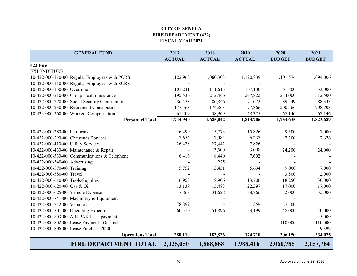# **CITY OF SENECA FIRE DEPARTMENT (422) FISCAL YEAR 2021**

| <b>GENERAL FUND</b>                             | 2017          | 2018          | 2019          | 2020          | 2021          |
|-------------------------------------------------|---------------|---------------|---------------|---------------|---------------|
|                                                 | <b>ACTUAL</b> | <b>ACTUAL</b> | <b>ACTUAL</b> | <b>BUDGET</b> | <b>BUDGET</b> |
| 422 Fire                                        |               |               |               |               |               |
| <b>EXPENDITURE:</b>                             |               |               |               |               |               |
| 10-422-000-110-00 Regular Employees with PORS   | 1,122,963     | 1,060,303     | 1,120,839     | 1,101,574     | 1,094,006     |
| 10-422-000-110-00 Regular Employees with SCRS   |               |               |               |               |               |
| 10-422-000-130-00 Overtime                      | 101,241       | 111,615       | 107,130       | 61,800        | 53,000        |
| 10-422-000-210-00 Group Health Insurance        | 195,536       | 212,446       | 247,822       | 234,000       | 312,500       |
| 10-422-000-220-00 Social Security Contributions | 86,428        | 86,846        | 91,672        | 89,549        | 88,333        |
| 10-422-000-230-00 Retirement Contributions      | 177,563       | 174,863       | 197,866       | 200,566       | 208,703       |
| 10-422-000-260-00 Workers Compensation          | 61,209        | 38,969        | 48,375        | 67,146        | 67,146        |
| <b>Personnel Total</b>                          | 1,744,940     | 1,685,042     | 1,813,706     | 1,754,635     | 1,823,689     |
| 10-422-000-280-00 Uniforms                      | 16,499        | 15,773        | 15,826        | 9,500         | 7,000         |
| 10-422-000-290-00 Christmas Bonuses             | 7,654         | 7,084         | 6,237         | 7,200         | 7,676         |
| 10-422-000-410-00 Utility Services              | 26,428        | 27,442        | 7,826         |               |               |
| 10-422-000-430-00 Maintenance & Repair          |               | 3,500         | 3,098         | 24,200        | 24,000        |
| 10-422-000-530-00 Communications & Telephone    | 6,416         | 8,440         | 7,602         |               |               |
| 10-422-000-540-00 Advertising                   |               | 225           |               |               |               |
| 10-422-000-570-00 Training                      | 5,752         | 3,451         | 5,694         | 9,000         | 7,000         |
| 10-422-000-580-00 Travel                        |               |               |               | 3,500         | 2,000         |
| 10-422-000-610-00 Tools/Supplies                | 16,953        | 18,906        | 13,706        | 18,250        | 30,000        |
| 10-422-000-620-00 Gas & Oil                     | 13,139        | 15,483        | 22,397        | 17,000        | 17,000        |
| 10-422-000-625-00 Vehicle Expense               | 47,868        | 31,628        | 38,766        | 32,000        | 35,000        |
| 10-422-000-741-00 Machinery & Equipment         |               |               |               |               |               |
| 10-422-000-742-00 Vehicles                      | 78,892        |               | 359           | 27,500        |               |
| 10-422-000-801-00 Operating Expense             | 60,510        | 51,896        | 53,199        | 48,000        | 40,000        |
| 10-422-000-803-00 AIR PAK lease payment         |               |               |               |               | 45,000        |
| 10-422-000-802-00 Lease Payment - Oshkosh       |               |               |               | 110,000       | 110,000       |
| 10-422-000-806-00 Lease Purchase 2020           |               |               |               |               | 9,399         |
| <b>Operations Total</b>                         | 280,110       | 183,826       | 174,710       | 306,150       | 334,075       |
| <b>FIRE DEPARTMENT TOTAL</b>                    | 2,025,050     | 1,868,868     | 1,988,416     | 2,060,785     | 2,157,764     |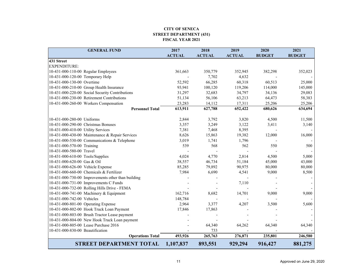#### **CITY OF SENECA STREET DEPARTMENT (431) FISCAL YEAR 2021**

| <b>GENERAL FUND</b>                                | 2017          | 2018          | 2019          | 2020          | 2021          |
|----------------------------------------------------|---------------|---------------|---------------|---------------|---------------|
|                                                    | <b>ACTUAL</b> | <b>ACTUAL</b> | <b>ACTUAL</b> | <b>BUDGET</b> | <b>BUDGET</b> |
| 431 Street                                         |               |               |               |               |               |
| EXPENDITURE:                                       |               |               |               |               |               |
| 10-431-000-110-00 Regular Employees                | 361,663       | 350,779       | 352,945       | 382,298       | 352,023       |
| 10-431-000-120-00 Temporary Help                   |               | 7,702         | 4,632         |               |               |
| 10-431-000-130-00 Overtime                         | 52,592        | 66,285        | 60,318        | 60,513        | 25,000        |
| 10-431-000-210-00 Group Health Insurance           | 93,941        | 100,120       | 119,206       | 114,000       | 145,000       |
| 10-431-000-220-00 Social Security Contributions    | 31,297        | 32,683        | 34,797        | 34,136        | 29,083        |
| 10-431-000-230-00 Retirement Contributions         | 51,134        | 56,106        | 63,213        | 64,473        | 58,383        |
| 10-431-000-260-00 Workers Compensation             | 23,283        | 14,112        | 17,311        | 25,206        | 25,206        |
| <b>Personnel Total</b>                             | 613,911       | 627,788       | 652,422       | 680,626       | 634,694       |
| 10-431-000-280-00 Uniforms                         | 2,844         | 3,792         | 3,820         | 4,500         | 11,500        |
| 10-431-000-290-00 Christmas Bonuses                | 3,357         | 3,249         | 3,122         | 3,411         | 3,140         |
| 10-431-000-410-00 Utility Services                 | 7,381         | 7,468         | 8,395         |               |               |
| 10-431-000-430-00 Maintenance & Repair Services    | 8,626         | 15,863        | 19,382        | 12,000        | 16,000        |
| 10-431-000-530-00 Communications & Telephone       | 3,019         | 1,741         | 1,796         |               |               |
| 10-431-000-570-00 Training                         | 539           | 568           | 562           | 550           | 500           |
| 10-431-000-580-00 Travel                           |               |               |               |               |               |
| 10-431-000-610-00 Tools/Supplies                   | 4,024         | 4,770         | 2,814         | 4,500         | 5,000         |
| 10-431-000-620-00 Gas & Oil                        | 38,557        | 46,734        | 51,184        | 45,000        | 43,000        |
| 10-431-000-626-00 Vehicle Expense                  | 85,285        | 79,892        | 90,975        | 80,000        | 80,000        |
| 10-431-000-660-00 Chemicals & Fertilizer           | 7,984         | 6,690         | 4,541         | 9,000         | 8,500         |
| 10-431-000-730-00 Improvements other than building |               |               |               |               |               |
| 10-431-000-731-00 Improvements C Funds             |               |               | 7,110         |               |               |
| 10-431-000-732-00 Rolling Hills Drive - FEMA       |               |               |               |               |               |
| 10-431-000-741-00 Machinery & Equipment            | 162,716       | 8,682         | 14,701        | 9,000         | 9,000         |
| 10-431-000-742-00 Vehicles                         | 148,784       |               |               |               |               |
| 10-431-000-801-00 Operating Expense                | 2,964         | 3,377         | 4,207         | 3,500         | 5,600         |
| 10-431-000-802-00 Hook Truck Loan Payment          | 17,846        | 17,863        |               |               |               |
| 10-431-000-803-00 Brush Tractor Lease payment      |               |               |               |               |               |
| 10-431-000-804-00 New Hook Truck Loan payment      |               |               |               |               |               |
| 10-431-000-805-00 Lease Purchase 2016              |               | 64,340        | 64,262        | 64,340        | 64,340        |
| 10-431-000-830-00 Beautification                   |               | 733           |               |               |               |
| <b>Operations Total</b>                            | 493,926       | 265,763       | 276,871       | 235,801       | 246,580       |
| STREET DEPARTMENT TOTAL                            | 1,107,837     | 893,551       | 929,294       | 916,427       | 881,275       |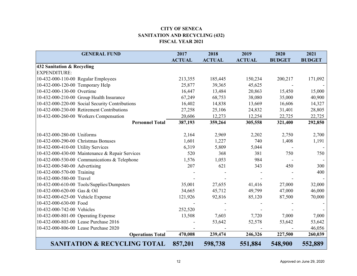## **CITY OF SENECA SANITATION AND RECYCLING (432) FISCAL YEAR 2021**

| <b>GENERAL FUND</b>                             | 2017          | 2018          | 2019          | 2020          | 2021          |
|-------------------------------------------------|---------------|---------------|---------------|---------------|---------------|
|                                                 | <b>ACTUAL</b> | <b>ACTUAL</b> | <b>ACTUAL</b> | <b>BUDGET</b> | <b>BUDGET</b> |
| 432 Sanitation & Recycling                      |               |               |               |               |               |
| <b>EXPENDITURE:</b>                             |               |               |               |               |               |
| 10-432-000-110-00 Regular Employees             | 213,355       | 185,445       | 150,234       | 200,217       | 171,092       |
| 10-432-000-120-00 Temporary Help                | 25,877        | 39,365        | 45,625        |               |               |
| 10-432-000-130-00 Overtime                      | 16,447        | 13,484        | 20,863        | 15,450        | 15,000        |
| 10-432-000-210-00 Group Health Insurance        | 67,249        | 68,753        | 38,080        | 35,000        | 40,900        |
| 10-432-000-220-00 Social Security Contributions | 16,402        | 14,838        | 13,669        | 16,606        | 14,327        |
| 10-432-000-230-00 Retirement Contributions      | 27,258        | 25,106        | 24,832        | 31,401        | 28,805        |
| 10-432-000-260-00 Workers Compensation          | 20,606        | 12,273        | 12,254        | 22,725        | 22,725        |
| <b>Personnel Total</b>                          | 387,193       | 359,264       | 305,558       | 321,400       | 292,850       |
|                                                 |               |               |               |               |               |
| 10-432-000-280-00 Uniforms                      | 2,164         | 2,969         | 2,202         | 2,750         | 2,700         |
| 10-432-000-290-00 Christmas Bonuses             | 1,601         | 1,227         | 740           | 1,408         | 1,191         |
| 10-432-000-410-00 Utility Services              | 6,319         | 5,809         | 5,044         |               |               |
| 10-432-000-430-00 Maintenance & Repair Services | 520           | 368           | 381           | 750           | 750           |
| 10-432-000-530-00 Communications & Telephone    | 1,576         | 1,053         | 984           |               |               |
| 10-432-000-540-00 Advertising                   | 207           | 621           | 343           | 450           | 300           |
| 10-432-000-570-00 Training                      |               |               |               |               | 400           |
| 10-432-000-580-00 Travel                        |               |               |               |               |               |
| 10-432-000-610-00 Tools/Supplies/Dumpsters      | 35,001        | 27,655        | 41,416        | 27,000        | 32,000        |
| 10-432-000-620-00 Gas & Oil                     | 34,665        | 45,712        | 49,799        | 47,000        | 46,000        |
| 10-432-000-625-00 Vehicle Expense               | 121,926       | 92,816        | 85,120        | 87,500        | 70,000        |
| 10-432-000-630-00 Food                          |               |               |               |               |               |
| 10-432-000-742-00 Vehicles                      | 252,520       |               |               |               |               |
| 10-432-000-801-00 Operating Expense             | 13,508        | 7,603         | 7,720         | 7,000         | 7,000         |
| 10-432-000-803-00 Lease Purchase 2016           |               | 53,642        | 52,578        | 53,642        | 53,642        |
| 10-432-000-806-00 Lease Purchase 2020           |               |               |               |               | 46,056        |
| <b>Operations Total</b>                         | 470,008       | 239,474       | 246,326       | 227,500       | 260,039       |
| <b>SANITATION &amp; RECYCLING TOTAL</b>         | 857,201       | 598,738       | 551,884       | 548,900       | 552,889       |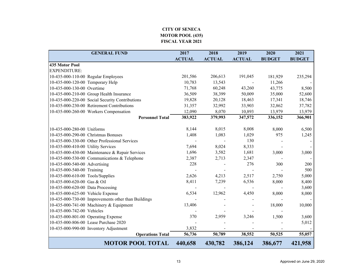### **CITY OF SENECA MOTOR POOL (435) FISCAL YEAR 2021**

|                                     | <b>GENERAL FUND</b>                                 | 2017          | 2018          | 2019          | 2020          | 2021          |
|-------------------------------------|-----------------------------------------------------|---------------|---------------|---------------|---------------|---------------|
|                                     |                                                     | <b>ACTUAL</b> | <b>ACTUAL</b> | <b>ACTUAL</b> | <b>BUDGET</b> | <b>BUDGET</b> |
| 435 Motor Pool                      |                                                     |               |               |               |               |               |
| <b>EXPENDITURE:</b>                 |                                                     |               |               |               |               |               |
|                                     | 10-435-000-110-00 Regular Employees                 | 201,586       | 206,613       | 191,045       | 181,929       | 235,294       |
| 10-435-000-120-00 Temporary Help    |                                                     | 10,783        | 13,543        |               | 11,266        |               |
| 10-435-000-130-00 Overtime          |                                                     | 71,768        | 60,248        | 43,260        | 43,775        | 8,500         |
|                                     | 10-435-000-210-00 Group Health Insurance            | 36,509        | 38,399        | 50,009        | 35,000        | 52,600        |
|                                     | 10-435-000-220-00 Social Security Contributions     | 19,828        | 20,128        | 18,463        | 17,341        | 18,746        |
|                                     | 10-435-000-230-00 Retirement Contributions          | 31,357        | 32,992        | 33,903        | 32,862        | 37,782        |
|                                     | 10-435-000-260-00 Workers Compensation              | 12,090        | 8,070         | 10,893        | 13,979        | 13,979        |
|                                     | <b>Personnel Total</b>                              | 383,922       | 379,993       | 347,572       | 336,152       | 366,901       |
|                                     |                                                     |               |               |               |               |               |
| 10-435-000-280-00 Uniforms          |                                                     | 8,144         | 8,015         | 8,008         | 8,000         | 6,500         |
| 10-435-000-290-00 Christmas Bonuses |                                                     | 1,408         | 1,083         | 1,029         | 975           | 1,245         |
|                                     | 10-435-000-330-00 Other Professional Services       |               |               | 130           |               |               |
| 10-435-000-410-00 Utility Services  |                                                     | 7,694         | 8,024         | 8,333         |               |               |
|                                     | 10-435-000-430-00 Maintenance & Repair Services     | 1,696         | 3,582         | 1,681         | 3,000         | 3,000         |
|                                     | 10-435-000-530-00 Communications & Telephone        | 2,387         | 2,713         | 2,347         |               |               |
| 10-435-000-540-00 Advertising       |                                                     | 228           |               | 276           | 300           | 200           |
| 10-435-000-540-00 Training          |                                                     |               |               |               |               | 500           |
| 10-435-000-610-00 Tools/Supplies    |                                                     | 2,626         | 4,213         | 2,517         | 2,750         | 5,000         |
| 10-435-000-620-00 Gas & Oil         |                                                     | 8,411         | 7,239         | 6,536         | 8,000         | 8,400         |
| 10-435-000-620-00 Data Processing   |                                                     |               |               |               |               | 3,600         |
| 10-435-000-625-00 Vehicle Expense   |                                                     | 6,534         | 12,962        | 4,450         | 8,000         | 8,000         |
|                                     | 10-435-000-730-00 Improvements other than Buildings |               |               |               |               |               |
|                                     | 10-435-000-741-00 Machinery & Equipment             | 13,406        |               |               | 18,000        | 10,000        |
| 10-435-000-742-00 Vehicles          |                                                     |               |               |               |               |               |
| 10-435-000-801-00 Operating Expense |                                                     | 370           | 2,959         | 3,246         | 1,500         | 3,600         |
|                                     | 10-435-000-806-00 Lease Purchase 2020               |               |               |               |               | 5,012         |
|                                     | 10-435-000-990-00 Inventory Adjustment              | 3,832         |               |               |               |               |
|                                     | <b>Operations Total</b>                             | 56,736        | 50,789        | 38,552        | 50,525        | 55,057        |
|                                     | <b>MOTOR POOL TOTAL</b>                             | 440,658       | 430,782       | 386,124       | 386,677       | 421,958       |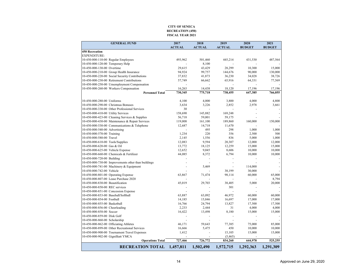#### **RECREATION (450) FISCAL YEAR 2021 CITY OF SENECA**

|                                     | <b>GENERAL FUND</b>                                 | 2017           | 2018          | 2019          | 2020          | 2021          |
|-------------------------------------|-----------------------------------------------------|----------------|---------------|---------------|---------------|---------------|
|                                     |                                                     | <b>ACTUAL</b>  | <b>ACTUAL</b> | <b>ACTUAL</b> | <b>BUDGET</b> | <b>BUDGET</b> |
| <b>450 Recreation</b>               |                                                     |                |               |               |               |               |
| <b>EXPENDITURE:</b>                 |                                                     |                |               |               |               |               |
| 10-450-000-110-00 Regular Employees |                                                     | 493,962        | 501,460       | 445,214       | 431,530       | 487,564       |
| 10-450-000-120-00 Temporary Help    |                                                     |                | 8,100         |               |               |               |
| 10-450-000-130-00 Overtime          |                                                     | 29,615         | 43,429        | 28,299        | 10,300        | 15,000        |
|                                     | 10-450-000-210-00 Group Health Insurance            | 94,924         | 99,757        | 144,676       | 90,000        | 130,000       |
|                                     | 10-450-000-220-00 Social Security Contributions     | 37,832         | 41,873        | 36,230        | 34,028        | 38,726        |
|                                     | 10-450-000-230-00 Retirement Contributions          | 57,749         | 66,662        | 65,916        | 64,331        | 77,569        |
|                                     | 10-450-000-250-00 Umemployment Compensation         |                |               |               |               |               |
|                                     | 10-450-000-260-00 Workers Compensation              | 16,263         | 14,438        | 18,120        | 17,196        | 17,196        |
|                                     | <b>Personnel Total</b>                              | 730,345        | 775,718       | 738,455       | 647,385       | 766,055       |
|                                     |                                                     |                |               |               |               |               |
| 10-450-000-280-00 Uniforms          |                                                     | 4,100          | 4,000         | 3,800         | 4,000         | 4,800         |
| 10-450-000-290-00 Christmas Bonuses |                                                     | 3,634          | 3,226         | 2,852         | 2,978         | 3,661         |
|                                     | 10-450-000-330-00 Other Professional Services       | 30             |               | ä,            |               |               |
| 10-450-000-410-00 Utility Services  |                                                     | 158,690        | 145,882       | 169,248       |               |               |
|                                     | 10-450-000-423-00 Cleaning Services & Supplies      | 56,718         | 59,001        | 59,175        |               |               |
|                                     | 10-450-000-430-00 Maintenance & Repair Services     | 119,008        | 161,100       | 189,860       | 160,000       | 150,000       |
|                                     | 10-450-000-530-00 Communications & Telephone        | 12,687         | 14,718        | 11,670        |               |               |
| 10-450-000-540-00 Advertising       |                                                     |                | 495           | 298           | 1,000         | 1,000         |
| 10-450-000-570-00 Training          |                                                     | 1,234          | 220           | 356           | 2,500         | 500           |
| 10-450-000-580-00 Travel            |                                                     | 2,145          | 1,556         | 836           | 5,000         | 1,000         |
| 10-450-000-610-00 Tools/Supplies    |                                                     | 12,083         | 9,594         | 20,307        | 12,000        | 12,000        |
| 10-450-000-620-00 Gas & Oil         |                                                     | 13,772         | 18,125        | 12,259        | 15,000        | 15,000        |
| 10-450-000-625-00 Vehicle Expense   |                                                     | 12,652         | 9,045         | 8,606         | 10,000        | 10,000        |
|                                     | 10-450-000-660-00 Chemicals & Fertilizer            | 44,085         | 8,372         | 6,794         | 10,000        | 10,000        |
| 10-450-000-720-00 Building          |                                                     |                |               |               |               |               |
|                                     | 10-450-000-730-00 Improvements other than buildings | $\overline{a}$ |               |               |               |               |
|                                     | 10-450-000-741-00 Machinery & Equipment             |                | 5,469         |               | 114,000       |               |
| 10-450-000-742-00 Vehicle           |                                                     |                |               | 38,199        | 30,000        |               |
| 10-450-000-801-00 Operating Expense |                                                     | 63,867         | 71,474        | 98,114        | 60,000        | 65,000        |
|                                     | 10-450-000-807-00 Lease Purchase 2020               |                |               |               |               | 8,794         |
| 10-450-000-830-00 Beautification    |                                                     | 45,019         | 29,703        | 38,405        | 5,000         | 20,000        |
| 10-450-000-850-00 REC services      |                                                     |                |               | 301           |               |               |
|                                     | 10-450-000-851-00 Concession Expense                |                |               |               |               |               |
| 10-450-000-853-00 Baseball/Softball |                                                     | 63,887         | 63,092        | 46,972        | 60,000        | 60,000        |
| 10-450-000-854-00 Football          |                                                     | 14,185         | 15,846        | 16,697        | 17,000        | 17,000        |
| 10-450-000-855-00 Basketball        |                                                     | 16,766         | 24,794        | 13,827        | 17,500        | 17,500        |
| 10-450-000-856-00 Cheerleading      |                                                     | 2,233          | 2,444         | 31            | 4,000         | 4,000         |
| 10-450-000-858-00 Soccer            |                                                     | 16,422         | 13,498        | 8,180         | 15,000        | 15,000        |
| 10-450-000-859-00 Disk Golf         |                                                     | ÷,             |               |               |               |               |
| 10-450-000-860-00 Scholarship       |                                                     |                |               |               |               |               |
|                                     | 10-450-000-862-00 Officiating Athletes              | 46,171         | 59,643        | 77,385        | 75,000        | 85,000        |
|                                     | 10-450-000-899-00 Other Recreational Services       | 16,666         | 5,475         | 450           | 10,000        | 10,000        |
|                                     | 10-450-000-900-00 Tournament Travel Expenses        | 1,412          |               | 15,105        | 15,000        | 15,000        |
| 10-450-000-902-00 Gignilliatt YMCA  |                                                     |                |               | (5, 465)      |               |               |
|                                     | <b>Operations Total</b>                             | 727,466        | 726,772       | 834,260       | 644,978       | 525,255       |
|                                     | <b>RECREATION TOTAL</b>                             | 1,457,811      | 1,502,490     | 1,572,715     | 1,292,363     | 1,291,309     |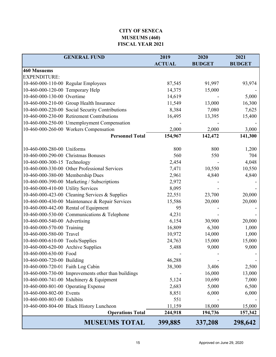# **CITY OF SENECA MUSEUMS (460) FISCAL YEAR 2021**

|                                    | <b>GENERAL FUND</b>                                 | 2019          | 2020          | 2021          |
|------------------------------------|-----------------------------------------------------|---------------|---------------|---------------|
|                                    |                                                     | <b>ACTUAL</b> | <b>BUDGET</b> | <b>BUDGET</b> |
| <b>460 Musuems</b>                 |                                                     |               |               |               |
| <b>EXPENDITURE:</b>                |                                                     |               |               |               |
|                                    | 10-460-000-110-00 Regular Employees                 | 87,545        | 91,997        | 93,974        |
| 10-460-000-120-00 Temporary Help   |                                                     | 14,375        | 15,000        |               |
| 10-460-000-130-00 Overtime         |                                                     | 14,619        |               | 5,000         |
|                                    | 10-460-000-210-00 Group Health Insurance            | 11,549        | 13,000        | 16,300        |
|                                    | 10-460-000-220-00 Social Security Contributions     | 8,384         | 7,080         | 7,625         |
|                                    | 10-460-000-230-00 Retirement Contributions          | 16,495        | 13,395        | 15,400        |
|                                    | 10-460-000-250-00 Umemployment Compensation         |               |               |               |
|                                    | 10-460-000-260-00 Workers Compensation              | 2,000         | 2,000         | 3,000         |
|                                    | <b>Personnel Total</b>                              | 154,967       | 142,472       | 141,300       |
| 10-460-000-280-00 Uniforms         |                                                     | 800           | 800           | 1,200         |
|                                    | 10-460-000-290-00 Christmas Bonuses                 | 560           | 550           | 704           |
| 10-460-000-300-15 Technology       |                                                     | 2,454         |               | 4,048         |
|                                    | 10-460-000-330-00 Other Professional Services       | 7,471         | 10,550        | 10,550        |
| 10-460-000-380-00 Membership Dues  |                                                     | 2,961         | 4,840         | 4,840         |
|                                    | 10-460-000-390-00 Marketing / Subscriptions         | 2,972         |               |               |
| 10-460-000-410-00 Utility Services |                                                     | 8,095         |               |               |
|                                    | 10-460-000-423-00 Cleaning Services & Supplies      | 22,551        | 23,700        | 20,000        |
|                                    | 10-460-000-430-00 Maintenance & Repair Services     | 15,586        | 20,000        | 20,000        |
|                                    | 10-460-000-442-00 Rental of Equipment               | 95            |               |               |
|                                    | 10-460-000-530-00 Communications & Telephone        | 4,231         |               |               |
| 10-460-000-540-00 Advertising      |                                                     | 6,154         | 30,900        | 20,000        |
| 10-460-000-570-00 Training         |                                                     | 16,809        | 6,300         | 1,000         |
| 10-460-000-580-00 Travel           |                                                     | 10,972        | 14,000        | 1,000         |
| 10-460-000-610-00 Tools/Supplies   |                                                     | 24,763        | 15,000        | 15,000        |
| 10-460-000-620-00 Archive Supplies |                                                     | 5,488         | 9,000         | 9,000         |
| 10-460-000-630-00 Food             |                                                     |               |               |               |
| 10-460-000-720-00 Building         |                                                     | 46,288        |               |               |
| 10-460-000-720-01 Faith Log Cabin  |                                                     | 38,300        | 3,406         | 2,500         |
|                                    | 10-460-000-730-00 Improvements other than buildings |               | 16,000        | 13,000        |
|                                    | 10-460-000-741-00 Machinery & Equipment             | 5,124         | 10,690        | 7,000         |
|                                    | 10-460-000-801-00 Operating Expense                 | 2,683         | 5,000         | 6,500         |
| 10-460-000-802-00 Events           |                                                     | 8,851         | 6,000         | 6,000         |
| 10-460-000-803-00 Exhibits         |                                                     | 551           |               |               |
|                                    | 10-460-000-804-00 Black History Luncheon            | 11,159        | 18,000        | 15,000        |
|                                    | <b>Operations Total</b>                             | 244,918       | 194,736       | 157,342       |
|                                    | <b>MUSEUMS TOTAL</b>                                | 399,885       | 337,208       | 298,642       |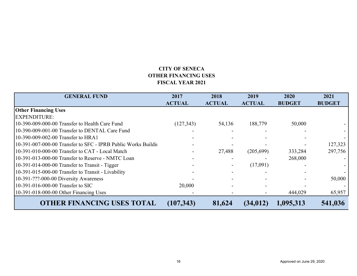# **CITY OF SENECAOTHER FINANCING USESFISCAL YEAR 2021**

| <b>GENERAL FUND</b>                                           | 2017          | 2018          | 2019          | 2020          | 2021          |
|---------------------------------------------------------------|---------------|---------------|---------------|---------------|---------------|
|                                                               | <b>ACTUAL</b> | <b>ACTUAL</b> | <b>ACTUAL</b> | <b>BUDGET</b> | <b>BUDGET</b> |
| <b>Other Financing Uses</b>                                   |               |               |               |               |               |
| <b>EXPENDITURE:</b>                                           |               |               |               |               |               |
| 10-390-009-000-00 Transfer to Health Care Fund                | (127, 343)    | 54,136        | 188,779       | 50,000        |               |
| 10-390-009-001-00 Transfer to DENTAL Care Fund                |               |               |               |               |               |
| 10-390-009-002-00 Transfer to HRA1                            |               |               |               |               |               |
| 10-391-007-000-00 Transfer to SFC - IPRB Public Works Buildin |               |               |               |               | 127,323       |
| 10-391-010-000-00 Transfer to CAT - Local Match               |               | 27,488        | (205,699)     | 333,284       | 297,756       |
| 10-391-013-000-00 Transfer to Reserve - NMTC Loan             |               |               |               | 268,000       |               |
| 10-391-014-000-00 Transfer to Transit - Tigger                |               |               | (17,091)      |               |               |
| 10-391-015-000-00 Transfer to Transit - Livability            |               |               |               |               |               |
| 10-391-???-000-00 Diversity Awareness                         |               |               |               |               | 50,000        |
| 10-391-016-000-00 Transfer to SIC                             | 20,000        |               |               |               |               |
| 10-391-018-000-00 Other Financing Uses                        |               |               |               | 444,029       | 65,957        |
| <b>OTHER FINANCING USES TOTAL</b>                             | (107, 343)    | 81,624        | (34, 012)     | 1,095,313     | 541,036       |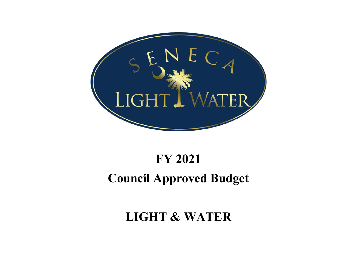

# **FY 2021 Council Approved Budget**

# **LIGHT & WATER**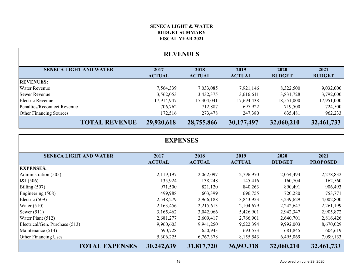## **FISCAL YEAR 2021 BUDGET SUMMARYSENECA LIGHT & WATER**

| <b>REVENUES</b>                |                       |                       |                       |                       |                       |  |  |  |  |
|--------------------------------|-----------------------|-----------------------|-----------------------|-----------------------|-----------------------|--|--|--|--|
| <b>SENECA LIGHT AND WATER</b>  | 2017<br><b>ACTUAL</b> | 2018<br><b>ACTUAL</b> | 2019<br><b>ACTUAL</b> | 2020<br><b>BUDGET</b> | 2021<br><b>BUDGET</b> |  |  |  |  |
| <b>REVENUES:</b>               |                       |                       |                       |                       |                       |  |  |  |  |
| <b>Water Revenue</b>           | 7,564,339             | 7,033,085             | 7,921,146             | 8,322,500             | 9,032,000             |  |  |  |  |
| <b>Sewer Revenue</b>           | 3,562,053             | 3,432,375             | 3,616,611             | 3,831,728             | 3,792,000             |  |  |  |  |
| Electric Revenue               | 17,914,947            | 17,304,041            | 17,694,438            | 18,551,000            | 17,951,000            |  |  |  |  |
| Penalties/Reconnect Revenue    | 706,762               | 712,887               | 697,922               | 719,500               | 724,500               |  |  |  |  |
| <b>Other Financing Sources</b> | 172,516               | 273,478               | 247,380               | 635,481               | 962,233               |  |  |  |  |
| <b>TOTAL REVENUE</b>           | 29,920,618            | 28,755,866            | 30,177,497            | 32,060,210            | 32,461,733            |  |  |  |  |

| <b>EXPENSES</b>                |                       |                       |                       |                       |                         |  |  |  |  |
|--------------------------------|-----------------------|-----------------------|-----------------------|-----------------------|-------------------------|--|--|--|--|
| <b>SENECA LIGHT AND WATER</b>  | 2017<br><b>ACTUAL</b> | 2018<br><b>ACTUAL</b> | 2019<br><b>ACTUAL</b> | 2020<br><b>BUDGET</b> | 2021<br><b>PROPOSED</b> |  |  |  |  |
| <b>EXPENSES:</b>               |                       |                       |                       |                       |                         |  |  |  |  |
| Administration (505)           | 2,119,197             | 2,062,097             | 2,796,970             | 2,054,494             | 2,278,832               |  |  |  |  |
| KI(506)                        | 135,924               | 138,248               | 145,416               | 160,704               | 162,560                 |  |  |  |  |
| Billing (507)                  | 971,500               | 821,120               | 840,263               | 890,491               | 906,493                 |  |  |  |  |
| Engineering (508)              | 499,988               | 603,399               | 696,755               | 720,280               | 753,771                 |  |  |  |  |
| Electric (509)                 | 2,548,279             | 2,966,188             | 3,843,923             | 3,239,629             | 4,002,800               |  |  |  |  |
| Water $(510)$                  | 2,163,456             | 2,215,613             | 2,104,679             | 2,242,647             | 2,261,199               |  |  |  |  |
| Sewer $(511)$                  | 3,165,462             | 3,042,066             | 5,426,901             | 2,942,347             | 2,905,872               |  |  |  |  |
| Water Plant (512)              | 2,681,277             | 2,609,417             | 2,766,901             | 2,640,701             | 2,816,426               |  |  |  |  |
| Electrical/Gen. Purchase (513) | 9,960,603             | 9,941,250             | 9,522,394             | 9,992,003             | 8,670,029               |  |  |  |  |
| Maintenance (514)              | 690,728               | 650,943               | 693,573               | 681,845               | 604,619                 |  |  |  |  |
| <b>Other Financing Uses</b>    | 5,306,225             | 6,767,378             | 8,155,543             | 6,495,069             | 7,099,133               |  |  |  |  |
| <b>TOTAL EXPENSES</b>          | 30,242,639            | 31,817,720            | 36,993,318            | 32,060,210            | 32,461,733              |  |  |  |  |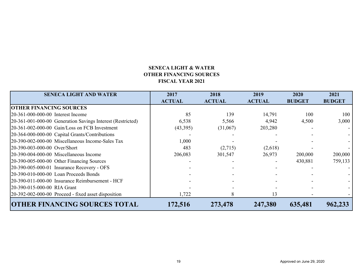# **SENECA LIGHT & WATER OTHER FINANCING SOURCES FISCAL YEAR 2021**

| <b>SENECA LIGHT AND WATER</b>                              | 2018<br>2017  |               | 2019                     | 2020          | 2021          |
|------------------------------------------------------------|---------------|---------------|--------------------------|---------------|---------------|
|                                                            | <b>ACTUAL</b> | <b>ACTUAL</b> | <b>ACTUAL</b>            | <b>BUDGET</b> | <b>BUDGET</b> |
| <b>OTHER FINANCING SOURCES</b>                             |               |               |                          |               |               |
| 20-361-000-000-00 Interest Income                          | 85            | 139           | 14,791                   | 100           | 100           |
| 20-361-001-000-00 Generation Savings Interest (Restricted) | 6,538         | 5,566         | 4,942                    | 4,500         | 3,000         |
| 20-361-002-000-00 Gain/Loss on FCB Investment              | (43,395)      | (31,067)      | 203,280                  |               |               |
| 20-364-000-000-00 Capital Grants/Contributions             |               |               |                          |               |               |
| 20-390-002-000-00 Miscellaneous Income-Sales Tax           | 1,000         |               |                          |               |               |
| 20-390-003-000-00 Over/Short                               | 483           | (2,715)       | (2,618)                  |               |               |
| 20-390-004-000-00 Miscellaneous Income                     | 206,083       | 301,547       | 26,973                   | 200,000       | 200,000       |
| 20-390-005-000-00 Other Financing Sources                  |               |               | $\overline{\phantom{a}}$ | 430,881       | 759,133       |
| 20-390-005-000-01 Insurance Recovery - OFS                 |               |               |                          |               |               |
| $20-390-010-000-00$ Loan Proceeds Bonds                    |               |               |                          |               |               |
| 20-390-011-000-00 Insurance Reimbursement - HCF            |               |               |                          |               |               |
| 20-390-015-000-00 RIA Grant                                |               |               |                          |               |               |
| 20-392-002-000-00 Proceed - fixed asset disposition        | 1,722         | 8             | 13                       |               |               |
| <b>OTHER FINANCING SOURCES TOTAL</b>                       | 172,516       | 273,478       | 247,380                  | 635,481       | 962,233       |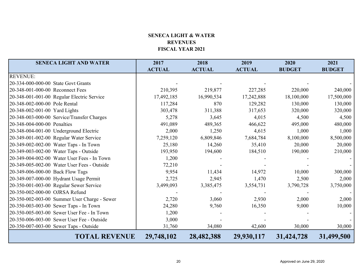# **SENECA LIGHT & WATERREVENUESFISCAL YEAR 2021**

| <b>SENECA LIGHT AND WATER</b>                | 2017          | 2018          | 2019          | 2020          | 2021          |
|----------------------------------------------|---------------|---------------|---------------|---------------|---------------|
|                                              | <b>ACTUAL</b> | <b>ACTUAL</b> | <b>ACTUAL</b> | <b>BUDGET</b> | <b>BUDGET</b> |
| <b>REVENUE:</b>                              |               |               |               |               |               |
| 20-334-000-000-00 State Govt Grants          |               |               |               |               |               |
| 20-348-001-000-00 Reconnect Fees             | 210,395       | 219,877       | 227,285       | 220,000       | 240,000       |
| 20-348-001-001-00 Regular Electric Service   | 17,492,185    | 16,990,534    | 17,242,888    | 18,100,000    | 17,500,000    |
| 20-348-002-000-00 Pole Rental                | 117,284       | 870           | 129,282       | 130,000       | 130,000       |
| 20-348-002-001-00 Yard Lights                | 303,478       | 311,388       | 317,653       | 320,000       | 320,000       |
| 20-348-003-000-00 Service/Transfer Charges   | 5,278         | 3,645         | 4,015         | 4,500         | 4,500         |
| 20-348-004-000-00 Penalties                  | 491,089       | 489,365       | 466,622       | 495,000       | 480,000       |
| 20-348-004-001-00 Underground Electric       | 2,000         | 1,250         | 4,615         | 1,000         | 1,000         |
| 20-349-001-002-00 Regular Water Service      | 7,259,120     | 6,809,846     | 7,684,784     | 8,100,000     | 8,500,000     |
| 20-349-002-002-00 Water Taps - In Town       | 25,180        | 14,260        | 35,410        | 20,000        | 20,000        |
| 20-349-003-002-00 Water Taps - Outside       | 193,950       | 194,600       | 184,510       | 190,000       | 210,000       |
| 20-349-004-002-00 Water User Fees - In Town  | 1,200         |               |               |               |               |
| 20-349-005-002-00 Water User Fees - Outside  | 72,210        |               |               |               |               |
| 20-349-006-000-00 Back Flow Tags             | 9,954         | 11,434        | 14,972        | 10,000        | 300,000       |
| 20-349-007-000-00 Hydrant Usage Permit       | 2,725         | 2,945         | 1,470         | 2,500         | 2,000         |
| 20-350-001-003-00 Regular Sewer Service      | 3,499,093     | 3,385,475     | 3,554,731     | 3,790,728     | 3,750,000     |
| 20-350-002-000-00 OJRSA Refund               |               |               |               |               |               |
| 20-350-002-003-00 Summer User Charge - Sewer | 2,720         | 3,060         | 2,930         | 2,000         | 2,000         |
| 20-350-003-003-00 Sewer Taps - In Town       | 24,280        | 9,760         | 16,350        | 9,000         | 10,000        |
| 20-350-005-003-00 Sewer User Fee - In Town   | 1,200         |               |               |               |               |
| 20-350-006-003-00 Sewer User Fee - Outside   | 3,000         |               |               |               |               |
| 20-350-007-003-00 Sewer Taps - Outside       | 31,760        | 34,080        | 42,600        | 30,000        | 30,000        |
| <b>TOTAL REVENUE</b>                         | 29,748,102    | 28,482,388    | 29,930,117    | 31,424,728    | 31,499,500    |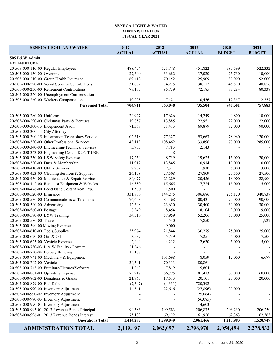#### **SENECA LIGHT & WATER ADMINISTRATION FISCAL YEAR 2021**

| <b>SENECA LIGHT AND WATER</b>                    | 2017          | 2018          | 2019                     | 2020          | 2021          |
|--------------------------------------------------|---------------|---------------|--------------------------|---------------|---------------|
| 505 L&W Admin                                    | <b>ACTUAL</b> | <b>ACTUAL</b> | <b>ACTUAL</b>            | <b>BUDGET</b> | <b>BUDGET</b> |
| <b>EXPENDITURE:</b>                              |               |               |                          |               |               |
| 20-505-000-110-00 Regular Employees              | 488,474       | 521,778       | 451,822                  | 580,599       | 522,332       |
| 20-505-000-130-00 Overtime                       | 27,600        | 33,682        | 37,020                   | 25,750        | 10,000        |
| 20-505-000-210-00 Group Health Insurance         | 69,412        | 70,152        | 125,909                  | 87,000        | 92,000        |
| 20-505-000-220-00 Social Security Contributions  | 31,032        | 34,275        | 38,112                   | 46,510        | 40,856        |
| 20-505-000-230-00 Retirement Contributions       | 78,185        | 95,739        | 72,185                   | 88,284        | 80,338        |
| 20-505-000-250-00 Unemployment Compensation      |               |               |                          |               |               |
| 20-505-000-260-00 Workers Compensation           | 10,208        | 7,421         | 10,456                   | 12,357        | 12,357        |
| <b>Personnel Total</b>                           | 704,911       | 763,048       | 735,504                  | 840,501       | 757,883       |
|                                                  |               |               |                          |               |               |
| 20-505-000-280-00 Uniforms                       | 24,927        | 17,626        | 14,249                   | 9,800         | 10,000        |
| 20-505-000-290-00 Christmas Party & Bonuses      | 19,857        | 13,885        | 22,951                   | 22,000        | 22,000        |
| 20-505-000-300-13 Independent Audit              | 71,368        | 71,413        | 69,879                   | 72,000        | 90,000        |
| 20-505-000-300-14 City Attorney                  |               |               | $\overline{\phantom{a}}$ |               |               |
| 20-505-000-300-15 Information Technology Service | 102,618       | 77,327        | 93,663                   | 78,960        | 120,000       |
| 20-505-000-330-00 Other Professional Services    | 43,113        | 108,462       | 133,896                  | 70,000        | 285,000       |
| 20-505-000-340-00 Engineering/Technical Services | 5,735         | 7,783         | 2,143                    |               |               |
| 20-505-000-343-00 Engineering Costs - DON'T USE  |               | 418           |                          |               |               |
| 20-505-000-350-00 L&W Safety Expense             | 17,254        | 8,759         | 19,625                   | 15,000        | 20,000        |
| 20-505-000-380-00 Dues & Membership              | 11,912        | 13,845        | 10,914                   | 10,000        | 10,000        |
| 20-505-000-410-00 Utility Services               | 7,739         | 2,321         | 1,930                    | 5,000         | 3,000         |
| 20-505-000-423-00 Cleaning Services & Supplies   | 26,158        | 27,508        | 27,809                   | 27,500        | 27,500        |
| 20-505-000-430-00 Maintenance & Repair Services  | 84,077        | 21,289        | 20,456                   | 18,000        | 28,900        |
| 20-505-000-442-00 Rental of Equipment & Vehicles | 16,880        | 15,665        | 17,724                   | 15,000        | 15,000        |
| 20-505-000-476-00 Bond Issue Costs/Amort Exp.    | 1,500         | 1,500         |                          |               |               |
| 20-505-000-520-00 Insurance                      | 331,806       | 144,275       | 306,686                  | 276,120       | 340,837       |
| 20-505-000-530-00 Communications & Telephone     | 76,603        | 84,468        | 100,431                  | 90,000        | 90,000        |
| 20-505-000-540-00 Advertising                    | 42,608        | 23,630        | 30,400                   | 30,000        | 30,000        |
| 20-505-000-560-00 Postage                        | 8,349         | 8,454         | 8,104                    | 9,000         | 9,000         |
| 20-505-000-570-00 L&W Training                   | 34,516        | 57,959        | 52,206                   | 50,000        | 25,000        |
| 20-505-000-580-00 Travel                         |               | 540           | 7,850                    |               | 1,922         |
| 20-505-000-590-00 Moving Expenses                |               | 9,000         |                          |               |               |
| 20-505-000-610-00 Tools/Supplies                 | 35,974        | 21,844        | 30,279                   | 25,000        | 25,000        |
| 20-505-000-620-00 Gas & Oil                      | 3,539         | 5,739         | 7,251                    | 5,000         | 7,500         |
| 20-505-000-625-00 Vehicle Expense                | 2,444         | 4,212         | 2,630                    | 5,000         | 5,000         |
| 20-505-000-730-03 L & W Facility - Lowery        | 21,846        |               |                          |               |               |
| 20-505-000-730-04 Lowery Building                | 13,187        |               |                          |               |               |
| 20-505-000-741-00 Machinery & Equipment          |               | 101,698       | 8,059                    | 12,000        | 6,677         |
| 20-505-000-742-00 Vehicles                       | 34,541        | 70,313        | 80,861                   |               |               |
| 20-505-000-743-00 Furniture/Fixtures/Software    | 1,843         | 7,819         | 5,804                    |               |               |
| 20-505-000-801-00 Operating Expense              | 75,217        | 66,795        | 81,413                   | 60,000        | 60,000        |
| 20-505-000-802-00 Donations & Grants             | 21,763        | 17,513        | 20,101                   | 20,000        | 20,000        |
| 20-505-000-879-00 Bad Debt                       | (7, 347)      | (4, 331)      | 720,392                  |               |               |
| 20-505-000-990-00 Inventory Adjustment           | 14,541        | 22,616        | (27,896)                 | 20,000        |               |
| 20-505-000-990-02 Inventory Adjustment           |               |               | (25,664)                 |               |               |
| 20-505-000-990-03 Inventory Adjustment           |               |               | (56,085)                 |               |               |
| 20-505-000-990-04 Inventory Adjustment           |               |               | 4,603                    |               |               |
| 20-505-000-995-01 2013 Revenue Bonds Principal   | 194,583       | 199,583       | 206,875                  | 206,250       | 206,250       |
| 20-505-000-996-01 2013 Revenue Bonds Interest    | 75,133        | 69,122        | 61,926                   | 62,363        | 62,363        |
| <b>Operations Total</b>                          | 1,414,287     | 1,299,049     | 2,061,466                | 1,213,993     | 1,520,949     |
| <b>ADMINISTRATION TOTAL</b>                      | 2,119,197     | 2,062,097     | 2,796,970                | 2,054,494     | 2,278,832     |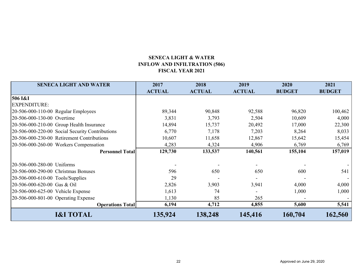# **SENECA LIGHT & WATER INFLOW AND INFILTRATION (506) FISCAL YEAR 2021**

| <b>SENECA LIGHT AND WATER</b>                   | 2017          | 2018          | 2019          | 2020          | 2021          |
|-------------------------------------------------|---------------|---------------|---------------|---------------|---------------|
|                                                 | <b>ACTUAL</b> | <b>ACTUAL</b> | <b>ACTUAL</b> | <b>BUDGET</b> | <b>BUDGET</b> |
| 506 I&I                                         |               |               |               |               |               |
| <b>EXPENDITURE:</b>                             |               |               |               |               |               |
| 20-506-000-110-00 Regular Employees             | 89,344        | 90,848        | 92,588        | 96,820        | 100,462       |
| 20-506-000-130-00 Overtime                      | 3,831         | 3,793         | 2,504         | 10,609        | 4,000         |
| 20-506-000-210-00 Group Health Insurance        | 14,894        | 15,737        | 20,492        | 17,000        | 22,300        |
| 20-506-000-220-00 Social Security Contributions | 6,770         | 7,178         | 7,203         | 8,264         | 8,033         |
| 20-506-000-230-00 Retirement Contributions      | 10,607        | 11,658        | 12,867        | 15,642        | 15,454        |
| 20-506-000-260-00 Workers Compensation          | 4,283         | 4,324         | 4,906         | 6,769         | 6,769         |
| <b>Personnel Total</b>                          | 129,730       | 133,537       | 140,561       | 155,104       | 157,019       |
| 20-506-000-280-00 Uniforms                      |               |               |               |               |               |
| 20-506-000-290-00 Christmas Bonuses             | 596           | 650           | 650           | 600           | 541           |
| 20-506-000-610-00 Tools/Supplies                | 29            |               |               |               |               |
| 20-506-000-620-00 Gas & Oil                     | 2,826         | 3,903         | 3,941         | 4,000         | 4,000         |
| 20-506-000-625-00 Vehicle Expense               | 1,613         | 74            |               | 1,000         | 1,000         |
| 20-506-000-801-00 Operating Expense             | 1,130         | 85            | 265           |               |               |
| <b>Operations Total</b>                         | 6,194         | 4,712         | 4,855         | 5,600         | 5,541         |
| <b>I&amp;I TOTAL</b>                            | 135,924       | 138,248       | 145,416       | 160,704       | 162,560       |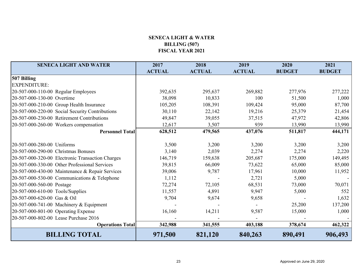# **SENECA LIGHT & WATER BILLING (507) FISCAL YEAR 2021**

| <b>SENECA LIGHT AND WATER</b>                    | 2017          | 2018          | 2019          | 2020          | 2021          |
|--------------------------------------------------|---------------|---------------|---------------|---------------|---------------|
|                                                  | <b>ACTUAL</b> | <b>ACTUAL</b> | <b>ACTUAL</b> | <b>BUDGET</b> | <b>BUDGET</b> |
| 507 Billing                                      |               |               |               |               |               |
| <b>EXPENDITURE:</b>                              |               |               |               |               |               |
| $[20-507-000-110-00$ Regular Employees           | 392,635       | 295,637       | 269,882       | 277,976       | 277,222       |
| 20-507-000-130-00 Overtime                       | 38,098        | 10,833        | 100           | 51,500        | 1,000         |
| 20-507-000-210-00 Group Health Insurance         | 105,205       | 108,391       | 109,424       | 95,000        | 87,700        |
| 20-507-000-220-00 Social Security Contributions  | 30,110        | 22,142        | 19,216        | 25,379        | 21,454        |
| 20-507-000-230-00 Retirement Contributions       | 49,847        | 39,055        | 37,515        | 47,972        | 42,806        |
| 20-507-000-260-00 Workers compensation           | 12,617        | 3,507         | 939           | 13,990        | 13,990        |
| <b>Personnel Total</b>                           | 628,512       | 479,565       | 437,076       | 511,817       | 444,171       |
|                                                  |               |               |               |               |               |
| 20-507-000-280-00 Uniforms                       | 3,500         | 3,200         | 3,200         | 3,200         | 3,200         |
| 20-507-000-290-00 Christmas Bonuses              | 3,140         | 2,039         | 2,274         | 2,274         | 2,220         |
| 20-507-000-320-00 Electronic Transaction Charges | 146,719       | 159,638       | 205,687       | 175,000       | 149,495       |
| 20-507-000-330-00 Other Professional Services    | 39,815        | 66,009        | 73,622        | 65,000        | 85,000        |
| 20-507-000-430-00 Maintenance & Repair Services  | 39,006        | 9,787         | 17,961        | 10,000        | 11,952        |
| 20-507-000-530-00 Communications & Telephone     | 1,112         |               | 2,721         | 5,000         |               |
| 20-507-000-560-00 Postage                        | 72,274        | 72,105        | 68,531        | 73,000        | 70,071        |
| 20-507-000-610-00 Tools/Supplies                 | 11,557        | 4,891         | 9,947         | 5,000         | 552           |
| 20-507-000-620-00 Gas & Oil                      | 9,704         | 9,674         | 9,658         |               | 1,632         |
| 20-507-000-741-00 Machinery & Equipment          |               |               |               | 25,200        | 137,200       |
| 20-507-000-801-00 Operating Expense              | 16,160        | 14,211        | 9,587         | 15,000        | 1,000         |
| 20-507-000-802-00 Lease Purchase 2016            |               |               |               |               |               |
| <b>Operations Total</b>                          | 342,988       | 341,555       | 403,188       | 378,674       | 462,322       |
| <b>BILLING TOTAL</b>                             | 971,500       | 821,120       | 840,263       | 890,491       | 906,493       |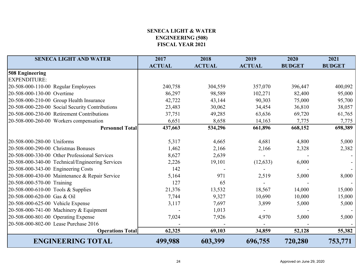# **SENECA LIGHT & WATER ENGINEERING (508) FISCAL YEAR 2021**

| <b>SENECA LIGHT AND WATER</b>                    | 2017          | 2018          | 2019          | 2020          | 2021          |
|--------------------------------------------------|---------------|---------------|---------------|---------------|---------------|
|                                                  | <b>ACTUAL</b> | <b>ACTUAL</b> | <b>ACTUAL</b> | <b>BUDGET</b> | <b>BUDGET</b> |
| 508 Engineering                                  |               |               |               |               |               |
| <b>EXPENDITURE:</b>                              |               |               |               |               |               |
| $[20-508-000-110-00$ Regular Employees           | 240,758       | 304,559       | 357,070       | 396,447       | 400,092       |
| 20-508-000-130-00 Overtime                       | 86,297        | 98,589        | 102,271       | 82,400        | 95,000        |
| 20-508-000-210-00 Group Health Insurance         | 42,722        | 43,144        | 90,303        | 75,000        | 95,700        |
| 20-508-000-220-00 Social Security Contributions  | 23,483        | 30,062        | 34,454        | 36,810        | 38,057        |
| 20-508-000-230-00 Retirement Contributions       | 37,751        | 49,285        | 63,636        | 69,720        | 61,765        |
| 20-508-000-260-00 Workers compensation           | 6,651         | 8,658         | 14,163        | 7,775         | 7,775         |
| <b>Personnel Total</b>                           | 437,663       | 534,296       | 661,896       | 668,152       | 698,389       |
|                                                  |               |               |               |               |               |
| 20-508-000-280-00 Uniforms                       | 5,317         | 4,665         | 4,681         | 4,800         | 5,000         |
| 20-508-000-290-00 Christmas Bonuses              | 1,462         | 2,166         | 2,166         | 2,328         | 2,382         |
| 20-508-000-330-00 Other Professional Services    | 8,627         | 2,639         |               |               |               |
| 20-508-000-340-00 Technical/Engineering Services | 2,226         | 19,101        | (12, 633)     | 6,000         |               |
| 20-508-000-343-00 Engineering Costs              | 142           |               |               |               |               |
| 20-508-000-430-00 Maintenance & Repair Service   | 5,164         | 971           | 2,519         | 5,000         | 8,000         |
| 20-508-000-570-00 Training                       | 127           | 65            |               |               |               |
| $[20-508-000-610-00]$ Tools & Supplies           | 21,376        | 13,532        | 18,567        | 14,000        | 15,000        |
| 20-508-000-620-00 Gas & Oil                      | 7,744         | 9,327         | 10,690        | 10,000        | 15,000        |
| 20-508-000-625-00 Vehicle Expense                | 3,117         | 7,697         | 3,899         | 5,000         | 5,000         |
| 20-508-000-741-00 Machinery & Equipment          |               | 1,013         |               |               |               |
| 20-508-000-801-00 Operating Expense              | 7,024         | 7,926         | 4,970         | 5,000         | 5,000         |
| 20-508-000-802-00 Lease Purchase 2016            |               |               |               |               |               |
| <b>Operations Total</b>                          | 62,325        | 69,103        | 34,859        | 52,128        | 55,382        |
| <b>ENGINEERING TOTAL</b>                         | 499,988       | 603,399       | 696,755       | 720,280       | 753,771       |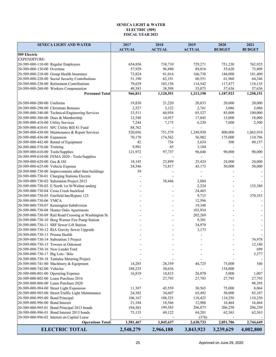#### **SENECA LIGHT & WATER ELECTRIC (509) FISCAL YEAR 2021**

| <b>SENECA LIGHT AND WATER</b>                          | 2017<br><b>ACTUAL</b> | 2018<br><b>ACTUAL</b> | 2019<br><b>ACTUAL</b> | 2020<br><b>BUDGET</b> | 2021<br><b>BUDGET</b>    |
|--------------------------------------------------------|-----------------------|-----------------------|-----------------------|-----------------------|--------------------------|
| 509 Electric                                           |                       |                       |                       |                       |                          |
| <b>EXPENDITURE:</b>                                    |                       |                       |                       |                       |                          |
| 20-509-000-110-00 Regular Employees                    | 654,856               | 738,710               | 729,271               | 751,230               | 762,925                  |
| 20-509-000-130-00 Overtime                             | 57,929                | 96,880                | 89,016                | 55,620                | 73,809                   |
| 20-509-000-210-00 Group Health Insurance               | 73,824                | 81,014                | 166,738               | 144,000               | 181,400                  |
| 20-509-000-220-00 Social Security Contributions        | 51,190                | 62,191                | 60,551                | 61,960                | 64,246                   |
| 20-509-000-230-00 Retirement Contributions             | 79,629                | 103,158               | 114,542               | 117,477               | 118,135                  |
| 20-509-000-260-00 Workers Compensation                 | 49,383                | 38,598                | 53,073                | 57,636                | 57,636                   |
| <b>Personnel Total</b>                                 | 966,811               | 1,120,551             | 1,213,190             | 1,187,923             | 1,258,151                |
|                                                        |                       |                       |                       |                       |                          |
| 20-509-000-280-00 Uniforms                             | 19,830                | 21,220                | 20,833                | 20,000                | 20,000                   |
| 20-509-000-290-00 Christmas Bonuses                    | 2,527                 | 3,122                 | 2,761                 | 3,086                 | 3,086                    |
| 20-509-000-340-00 Technical/Engineering Services       | 33,511                | 60,958                | 85,527                | 85,000                | 100,000                  |
| 20-509-000-380-00 Dues & Membership                    | 12,548                | 14,957                | 17,045                | 15,000                | 18,000                   |
| 20-509-000-410-00 Utility Services                     | 7,244                 | 7,175                 | 6,230                 | 7,000                 | 2,500                    |
| 20-509-000-410-01 SFC Utility Bill 81 Fund             | 88,762                |                       |                       |                       |                          |
| 20-509-000-430-00 Maintenance & Repair Services        | 520,056               | 751,579               | 1,249,930             | 800,000               | 1,063,910                |
| 20-509-000-436-00 Expansion                            | 70,170                | 174,562               | 56,982                | 175,000               | 110,796                  |
| 20-509-000-442-00 Rental of Equipment                  | 42                    | 736                   | 5,634                 | 500                   | 49,157                   |
| 20-509-000-570-00 Training                             | 9,901                 | 65                    | 3,104                 |                       |                          |
| 20-509-000-610-00 Tools/Supplies                       | 121,972               | 97,737                | 96,646                | 90,000                | 90,000                   |
| 20-509-999-610-00 FEMA 2020 - Tools/Supplies           |                       |                       |                       |                       |                          |
| 20-509-000-620-00 Gas & Oil                            | 18,145                | 23,899                | 25,424                | 24,000                | 24,000                   |
| 20-509-000-625-00 Vehicle Expense                      | 24,546                | 73,817                | 45,173                | 50,000                | 50,000                   |
| 20-509-000-730-00 Improvements other than buildings    | 39                    |                       |                       |                       |                          |
| 20-509-000-730-01 Charging Stations Electric           |                       |                       |                       |                       |                          |
| 20-509-000-730-02 Substation Project 2013              |                       | 38,446                | 3,884                 |                       |                          |
| 20-509-000-730-03 E North 1st St/Walnut underg         |                       |                       | 2,224                 |                       | 135,380                  |
| 20-509-000-730-04 Cross Creek backfeed                 |                       |                       | 24,465                |                       |                          |
| 20-509-000-730-05 Fairfield Inn/Bypass 123             |                       |                       | 9,715                 |                       | 370,353                  |
| 20-509-000-730-06 YMCA                                 |                       |                       | 12,596                |                       |                          |
| 20-509-000-730-07 Kensington Subdivision               |                       |                       | 19,348                |                       |                          |
| 20-509-000-730-08 Hunter Oaks Apartments               |                       |                       | 103,934               |                       |                          |
| 20-509-000-730-09 Rail Road Crossing at Washington St. |                       |                       | 202,269               |                       | $\blacksquare$           |
| 20-509-000-730-10 Borg Warner Fire Pump Station        |                       |                       | 9,301                 |                       | $\overline{\phantom{a}}$ |
| 20-509-000-730-11 SRF Sewer Lift Station               |                       |                       | 34,979                |                       | $\blacksquare$           |
| 20-509-000-730-12 RIA Gravity Sewer Upgrade            |                       |                       | 3,173                 |                       | $\blacksquare$           |
| 20-509-000-730-13 Prisma Health                        |                       |                       |                       |                       |                          |
| 20-509-000-730-14 Substation 3 Project                 |                       |                       |                       |                       | 74,978                   |
| 20-509-000-730-15 Townes at Oakmont                    |                       |                       |                       |                       | 12,180                   |
| 20-509-000-730-16 New Leader Ford                      |                       |                       |                       |                       | 699                      |
| 20-509-000-730-17 Big Lots / Bilo                      |                       |                       |                       |                       | 3,377                    |
| 20-509-000-730-18 Tantalus Metering Project            |                       |                       |                       |                       |                          |
| 20-509-000-741-00 Machinery & Equipment                | 14,285                | 28,359                | 44,725                | 75,000                | 540                      |
| 20-509-000-742-00 Vehicles                             | 188,235               | 30,636                |                       | 154,000               |                          |
| 20-509-000-801-00 Operating Expense                    | 16,819                | 14,815                | 26,870                | 5,000                 | 1,007                    |
| 20-509-000-802-00 Lease Purchase 2016                  |                       | 27,793                | 27,793                | 27,793                | 27,793                   |
| 20-509-000-806-00 Lease Purchase 2020                  |                       |                       |                       |                       | 98,395                   |
| 20-509-000-984-00 Street Light Expansion               | 11,387                | 45,559                | 30,565                | 75,000                | 8,064                    |
| 20-509-000-985-00 Street/Traffic Light Maintenance     | 24,382                | 34,607                | 65,492                | 50,000                | 85,107                   |
| 20-509-000-995-00 Bond Principal                       | 106,167               | 108,325               | 110,425               | 110,250               | 110,250                  |
| 20-509-000-996-00 Bond Interest                        | 21,184                | 18,566                | 12,988                | 16,464                | 16,464                   |
| 20-509-000-995-01 Bond Principal 2013 bonds            | 194,583               | 199,583               | 206,875               | 206,250               | 206,250                  |
| 20-509-000-996-01 Bond Interest 2013 bonds             | 75,133                | 69,122                | 64,201                | 62,363                | 62,363                   |
| 20-509-000-996-02 Interest on Capital Lease            |                       |                       | (376)                 |                       |                          |
| <b>Operations Total</b>                                | 1,581,467             | 1,845,637             | 2,630,733             | 2,051,706             | 2,744,649                |
| <b>ELECTRIC TOTAL</b>                                  | 2,548,279             | 2,966,188             | 3,843,923             | 3,239,629             | 4,002,800                |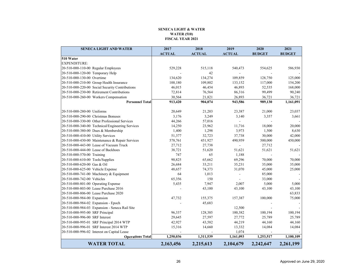#### **SENECA LIGHT & WATERWATER (510) FISCAL YEAR 2021**

| <b>SENECA LIGHT AND WATER</b>                    | 2017                   | 2018          | 2019           | 2020          | 2021          |
|--------------------------------------------------|------------------------|---------------|----------------|---------------|---------------|
|                                                  | <b>ACTUAL</b>          | <b>ACTUAL</b> | <b>ACTUAL</b>  | <b>BUDGET</b> | <b>BUDGET</b> |
| 510 Water                                        |                        |               |                |               |               |
| <b>EXPENDITURE:</b>                              |                        |               |                |               |               |
| 20-510-000-110-00 Regular Employees              | 529,228                | 515,118       | 540,473        | 554,625       | 586,930       |
| 20-510-000-120-00 Temporary Help                 |                        | 42            | $\sim$         |               |               |
| 20-510-000-130-00 Overtime                       | 134,620                | 134,274       | 109,859        | 128,750       | 125,000       |
| 20-510-000-210-00 Group Health Insurance         | 100,180                | 109,802       | 133,152        | 117,000       | 154,200       |
| 20-510-000-220-00 Social Security Contributions  | 46,015                 | 46,454        | 46,893         | 52,535        | 168,000       |
| 20-510-000-230-00 Retirement Contributions       | 72,814                 | 76,564        | 86,316         | 99,499        | 90,240        |
| 20-510-000-260-00 Workers Compensation           | 30,564                 | 21,821        | 26,893         | 36,721        | 36,721        |
| <b>Personnel Total</b>                           | 913,420                | 904,074       | 943,586        | 989,130       | 1,161,091     |
|                                                  |                        |               |                |               |               |
| 20-510-000-280-00 Uniforms                       | 20,649                 | 21,203        | 23,387         | 21,000        | 23,037        |
| 20-510-000-290-00 Christmas Bonuses              | 3,176                  | 3,249         | 3,140          | 3,357         | 3,661         |
| 20-510-000-330-00 Other Professional Services    | 44,266                 | 57,016        | $\mathbf{r}$   |               |               |
| 20-510-000-340-00 Technical/Engineering Services | 14,250                 | 23,962        | 11,716         | 18,000        | 20,000        |
| 20-510-000-380-00 Dues & Membership              | 1,400                  | 1,298         | 3,973          | 1,500         | 8,630         |
| 20-510-000-410-00 Utility Services               | 51,377                 | 32,723        | 37,738         | 30,000        | 42,000        |
| 20-510-000-430-00 Maintenance & Repair Services  | 578,761                | 451,927       | 490,959        | 500,000       | 450,000       |
| 20-510-000-443-00 Lease of Vacuum Truck          | 27,712                 | 27,738        | $\blacksquare$ | 27,712        |               |
| 20-510-000-444-00 Lease of Backhoes              | 38,721                 | 51,620        | 51,621         | 51,621        | 51,621        |
| 20-510-000-570-00 Training                       | 747                    | 65            | 1,188          |               |               |
| 20-510-000-610-00 Tools/Supplies                 | 90,825                 | 65,662        | 69,296         | 70,000        | 70,000        |
| 20-510-000-620-00 Gas & Oil                      | 26,684                 | 33,211        | 35,231         | 35,000        | 35,000        |
| 20-510-000-625-00 Vehicle Expense                | 48,657                 | 74,373        | 31,070         | 45,000        | 25,000        |
| 20-510-000-741-00 Machinery & Equipment          | 64                     | 1,013         |                | 85,000        |               |
| 20-510-000-742-00 Vehicles                       | 65,356                 | 150           |                | 33,000        |               |
| 20-510-000-801-00 Operating Expense              | 5,435                  | 7,947         | 2,007          | 5,000         | 5,000         |
| 20-510-000-803-00 Lease Purchase 2016            |                        | 43,100        | 43,100         | 43,100        | 43,100        |
| 20-510-000-806-00 Lease Purchase 2020            |                        |               |                |               | 63,833        |
| 20-510-000-984-00 Expansion                      | 47,732                 | 155,375       | 157,387        | 100,000       | 75,000        |
| 20-510-000-984-02 Expansion - Epoch              |                        | 45,683        |                |               |               |
| 20-510-000-984-03 Expansion - Seneca Rail Site   |                        |               | 12,500         |               |               |
| 20-510-000-995-00 SRF Principal                  | 96,337                 | 128,385       | 100,382        | 100,194       | 100,194       |
| 20-510-000-996-00 SRF Interest                   | 29,645                 | 27,597        | 27,772         | 25,789        | 25,789        |
| 20-510-000-995-01 SRF Principal 2014 WTP         | 42,927                 | 43,582        | 44,219         | 44,160        | 44,160        |
| 20-510-000-996-01 SRF Interest 2014 WTP          | 15,316                 | 14,660        | 13,332         | 14,084        | 14,084        |
| 20-510-000-996-02 Interest on Capital Lease      |                        |               | 1,074          |               |               |
| <b>Operations Total</b>                          | $\overline{1,250,036}$ | 1,311,539     | 1,161,093      | 1,253,517     | 1,100,109     |
| <b>WATER TOTAL</b>                               | 2,163,456              | 2,215,613     | 2,104,679      | 2,242,647     | 2,261,199     |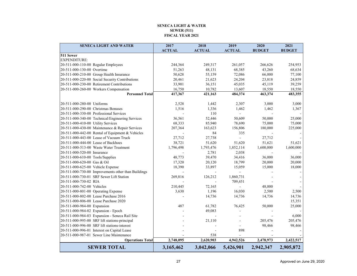#### **SENECA LIGHT & WATER SEWER (511) FISCAL YEAR 2021**

| <b>SENECA LIGHT AND WATER</b>                       | 2017          | 2018          | 2019           | 2020          | 2021          |
|-----------------------------------------------------|---------------|---------------|----------------|---------------|---------------|
|                                                     | <b>ACTUAL</b> | <b>ACTUAL</b> | <b>ACTUAL</b>  | <b>BUDGET</b> | <b>BUDGET</b> |
| 511 Sewer                                           |               |               |                |               |               |
| <b>EXPENDITURE:</b>                                 |               |               |                |               |               |
| 20-511-000-110-00 Regular Employees                 | 244,364       | 249,317       | 261,057        | 266,626       | 254,953       |
| 20-511-000-130-00 Overtime                          | 51,263        | 48,131        | 68,385         | 43,260        | 68,634        |
| 20-511-000-210-00 Group Health Insurance            | 50,628        | 55,159        | 72,086         | 66,000        | 77,100        |
| 20-511-000-220-00 Social Security Contributions     | 20,461        | 21,623        | 24,204         | 23,818        | 24,859        |
| 20-511-000-230-00 Retirement Contributions          | 33,901        | 36,151        | 45,035         | 45,119        | 39,259        |
| 20-511-000-260-00 Workers Compensation              | 16,750        | 10,782        | 13,607         | 18,550        | 18,550        |
| <b>Personnel Total</b>                              | 417,367       | 421,163       | 484,374        | 463,374       | 483,355       |
|                                                     |               |               |                |               |               |
| 20-511-000-280-00 Uniforms                          | 2,528         | 1,442         | 2,307          | 3,000         | 3,000         |
| 20-511-000-290-00 Christmas Bonuses                 | 1,516         | 1,336         | 1,462          | 1,462         | 1,367         |
| 20-511-000-330-00 Professional Services             |               | 110           |                |               |               |
| 20-511-000-340-00 Technical/Engineering Services    | 36,561        | 52,446        | 50,609         | 50,000        | 25,000        |
| 20-511-000-410-00 Utility Services                  | 68,333        | 85,940        | 78,690         | 75,000        | 75,000        |
| 20-511-000-430-00 Maintenance & Repair Services     | 207,364       | 163,623       | 156,806        | 180,000       | 225,000       |
| 20-511-000-442-00 Rental of Equipment & Vehicles    |               | 84            | 335            |               |               |
| 20-511-000-443-00 Lease of Vacuum Truck             | 27,712        | 27,738        | $\blacksquare$ | 27,712        |               |
| 20-511-000-444-00 Lease of Backhoes                 | 38,721        | 51,620        | 51,620         | 51,621        | 51,621        |
| 20-511-000-513-00 Waste Water Treatment             | 1,796,498     | 1,793,476     | 1,852,114      | 1,600,000     | 1,600,000     |
| 20-511-000-520-00 Insurance                         |               | 2,781         | 2,038          |               |               |
| 20-511-000-610-00 Tools/Supplies                    | 48,773        | 39,470        | 34,416         | 36,000        | 36,000        |
| 20-511-000-620-00 Gas & Oil                         | 17,320        | 20,120        | 18,799         | 20,000        | 20,000        |
| 20-511-000-625-00 Vehicle Expense                   | 18,390        | 33,897        | 15,059         | 15,000        | 18,000        |
| 20-511-000-730-00 Improvements other than Buildings |               |               | $\overline{a}$ |               |               |
| 20-511-000-730-01 SRF Sewer Lift Station            | 269,816       | 126,212       | 1,860,731      |               |               |
| 20-511-000-730-02 RIA                               |               |               | 709,451        |               |               |
| 20-511-000-742-00 Vehicles                          | 210,445       | 72,165        |                | 48,000        |               |
| 20-511-000-801-00 Operating Expense                 | 3,630         | 1,196         | 16,030         | 2,500         | 2,500         |
| 20-511-000-802-00 Lease Purchase 2016               |               | 14,736        | 14,736         | 14,736        | 14,736        |
| 20-511-000-806-00 Lease Purchase 2020               |               |               |                |               | 15,351        |
| 20-511-000-984-00 Expansion                         | 487           | 61,782        | 76,425         | 50,000        | 25,000        |
| 20-511-000-984-02 Expansion - Epoch                 |               | 49,083        |                |               |               |
| 20-511-000-984-03 Expansion - Seneca Rail Site      |               |               |                |               | 6,000         |
| 20-511-000-995-00 SRF lift stations-principal       |               | 21,110        | ÷.             | 205,476       | 205,476       |
| 20-511-000-996-00 SRF lift stations-interest        |               |               | ÷.             | 98,466        | 98,466        |
| 20-511-000-996-01 Interest on Capital Lease         |               |               | 898            |               |               |
| 20-511-000-987-01 Sewer Line Maintenance            |               | 538           |                |               |               |
| <b>Operations Total</b>                             | 2,748,095     | 2,620,903     | 4,942,526      | 2,478,973     | 2,422,517     |
| <b>SEWER TOTAL</b>                                  | 3,165,462     | 3,042,066     | 5,426,901      | 2,942,347     | 2,905,872     |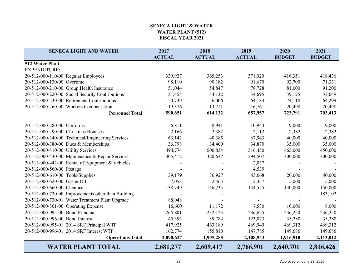## **SENECA LIGHT & WATERWATER PLANT (512) FISCAL YEAR 2021**

| <b>SENECA LIGHT AND WATER</b>                      | 2017          | 2018          | 2019          | 2020          | 2021          |
|----------------------------------------------------|---------------|---------------|---------------|---------------|---------------|
|                                                    | <b>ACTUAL</b> | <b>ACTUAL</b> | <b>ACTUAL</b> | <b>BUDGET</b> | <b>BUDGET</b> |
| 512 Water Plant                                    |               |               |               |               |               |
| <b>EXPENDITURE:</b>                                |               |               |               |               |               |
| 20-512-000-110-00 Regular Employees                | 339,927       | 365,253       | 371,920       | 416,351       | 418,436       |
| 20-512-000-130-00 Overtime                         | 98,110        | 90,182        | 91,670        | 92,700        | 71,331        |
| 20-512-000-210-00 Group Health Insurance           | 51,044        | 54,847        | 78,728        | 81,000        | 91,200        |
| 20-512-000-220-00 Social Security Contributions    | 31,455        | 34,132        | 34,695        | 39,125        | 37,649        |
| 20-512-000-230-00 Retirement Contributions         | 50,739        | 56,006        | 64,184        | 74,118        | 64,299        |
| 20-512-000-260-00 Workers Compensation             | 19,376        | 13,711        | 16,761        | 20,498        | 20,498        |
| <b>Personnel Total</b>                             | 590,651       | 614,132       | 657,957       | 723,791       | 703,413       |
|                                                    |               |               |               |               |               |
| 20-512-000-280-00 Uniforms                         | 6,811         | 8,941         | 10,944        | 9,000         | 9,000         |
| 20-512-000-290-00 Christmas Bonuses                | 2,166         | 2,382         | 2,112         | 2,382         | 2,382         |
| 20-512-000-340-00 Technical/Engineering Services   | 63,142        | 40,385        | 67,943        | 40,000        | 40,000        |
| 20-512-000-380-00 Dues & Memberships               | 36,798        | 34,400        | 34,870        | 35,000        | 35,000        |
| 20-512-000-410-00 Utility Services                 | 494,774       | 500,834       | 516,450       | 465,000       | 450,000       |
| 20-512-000-430-00 Maintenance & Repair Services    | 305,412       | 320,637       | 294,507       | 300,000       | 300,000       |
| 20-512-000-442-00 Rental of Equipment & Vehicles   |               |               | 2,037         |               |               |
| 20-512-000-560-00 Postage                          |               |               | 4,539         |               |               |
| 20-512-000-610-00 Tools/Supplies                   | 39,179        | 36,927        | 43,668        | 20,000        | 40,000        |
| 20-512-000-620-00 Gas & Oil                        | 7,053         | 2,465         | 2,357         | 5,000         | 5,000         |
| 20-512-000-660-00 Chemicals                        | 138,749       | 146,235       | 144,555       | 140,000       | 150,000       |
| 20-512-000-730-00 Improvements other than Building |               |               |               |               | 183,102       |
| 20-512-000-730-01 Water Treatment Plant Upgrade    | 88,048        |               |               |               |               |
| 20-512-000-801-00 Operating Expense                | 16,600        | 11,172        | 7,530         | 10,000        | 8,000         |
| 20-512-000-995-00 Bond Principal                   | 265,801       | 232,125       | 236,625       | 236,250       | 236,250       |
| 20-512-000-996-00 Bond Interest                    | 45,395        | 39,784        | 123,073       | 35,280        | 35,280        |
| 20-512-000-995-01 2014 SRF Principal WTP           | 417,925       | 463,189       | 469,949       | 469,312       | 469,312       |
| 20-512-000-996-01 2014 SRF Interest WTP            | 162,774       | 155,810       | 147,785       | 149,686       | 149,686       |
| <b>Operations Total</b>                            | 2,090,627     | 1,995,285     | 2,108,943     | 1,916,910     | 2,113,012     |
| <b>WATER PLANT TOTAL</b>                           | 2,681,277     | 2,609,417     | 2,766,901     | 2,640,701     | 2,816,426     |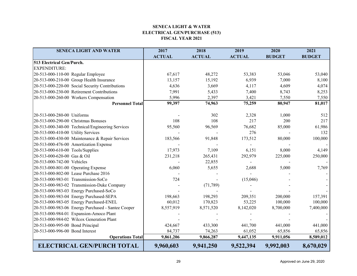#### **SENECA LIGHT & WATER ELECTRICAL GEN/PURCHASE (513) FISCAL YEAR 2021**

| <b>SENECA LIGHT AND WATER</b>                      | 2017          | 2018          | 2019          | 2020          | 2021          |
|----------------------------------------------------|---------------|---------------|---------------|---------------|---------------|
|                                                    | <b>ACTUAL</b> | <b>ACTUAL</b> | <b>ACTUAL</b> | <b>BUDGET</b> | <b>BUDGET</b> |
| 513 Electrical Gen/Purch.                          |               |               |               |               |               |
| <b>EXPENDITURE:</b>                                |               |               |               |               |               |
| 20-513-000-110-00 Regular Employee                 | 67,617        | 48,272        | 53,383        | 53,046        | 53,040        |
| 20-513-000-210-00 Group Health Insurance           | 13,157        | 15,192        | 6,939         | 7,000         | 8,100         |
| 20-513-000-220-00 Social Security Contributions    | 4,636         | 3,669         | 4,117         | 4,609         | 4,074         |
| 20-513-000-230-00 Retirement Contributions         | 7,991         | 5,433         | 7,400         | 8,743         | 8,253         |
| 20-513-000-260-00 Workers Compensation             | 5,996         | 2,397         | 3,421         | 7,550         | 7,550         |
| <b>Personnel Total</b>                             | 99,397        | 74,963        | 75,259        | 80,947        | 81,017        |
| 20-513-000-280-00 Uniforms                         |               | 302           | 2,328         | 1,000         | 512           |
| 20-513-000-290-00 Christmas Bonuses                | 108           | 108           | 217           | 200           | 217           |
| 20-513-000-340-00 Technical/Engineering Services   | 95,560        | 96,569        | 76,682        | 85,000        | 61,986        |
| 20-513-000-410-00 Utility Services                 |               |               | 276           |               | 132           |
| 20-513-000-430-00 Maintenance & Repair Services    | 183,566       | 91,848        | 173,512       | 80,000        | 100,000       |
| 20-513-000-476-00 Amortization Expense             |               |               |               |               |               |
| 20-513-000-610-00 Tools/Supplies                   | 17,973        | 7,109         | 6,151         | 8,000         | 4,149         |
| 20-513-000-620-00 Gas & Oil                        | 231,218       | 265,431       | 292,979       | 225,000       | 250,000       |
| 20-513-000-742-00 Vehicles                         |               | 22,855        |               |               |               |
| 20-513-000-801-00 Operating Expense                | 6,060         | 5,655         | 2,688         | 5,000         | 7,769         |
| 20-513-000-802-00 Lease Purchase 2016              |               |               |               |               |               |
| 20-513-000-983-01 Transmission-SoCo                | 724           |               | (15,046)      |               |               |
| 20-513-000-983-02 Transmission-Duke Company        |               | (71, 789)     |               |               |               |
| 20-513-000-983-03 Energy Purchased-SoCo            |               |               |               |               |               |
| 20-513-000-983-04 Energy Purchased-SEPA            | 198,663       | 198,293       | 209,351       | 200,000       | 157,391       |
| 20-513-000-983-05 Energy Purchased-ENEL            | 60,012        | 170,823       | 53,225        | 100,000       | 100,000       |
| 20-513-000-983-06 Energy Purchased - Santee Cooper | 8,557,919     | 8,571,520     | 8,142,020     | 8,700,000     | 7,400,000     |
| 20-513-000-984-01 Expansion-Amoco Plant            |               |               |               |               |               |
| 20-513-000-984-02 Wilcox Generation Plant          |               |               |               |               |               |
| 20-513-000-995-00 Bond Principal                   | 424,667       | 433,300       | 441,700       | 441,000       | 441,000       |
| 20-513-000-996-00 Bond Interest                    | 84,737        | 74,263        | 61,052        | 65,856        | 65,856        |
| <b>Operations Total</b>                            | 9,861,206     | 9,866,287     | 9,447,135     | 9,911,056     | 8,589,012     |
| <b>ELECTRICAL GEN/PURCH TOTAL</b>                  | 9,960,603     | 9,941,250     | 9,522,394     | 9,992,003     | 8,670,029     |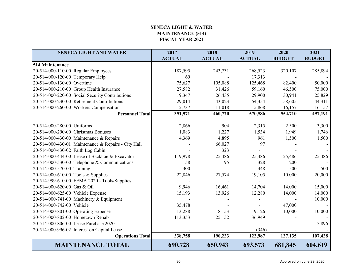## **SENECA LIGHT & WATER MAINTENANCE (514) FISCAL YEAR 2021**

| <b>SENECA LIGHT AND WATER</b>                       | 2017          | 2018          | 2019          | 2020          | 2021          |
|-----------------------------------------------------|---------------|---------------|---------------|---------------|---------------|
|                                                     | <b>ACTUAL</b> | <b>ACTUAL</b> | <b>ACTUAL</b> | <b>BUDGET</b> | <b>BUDGET</b> |
| 514 Maintenance                                     |               |               |               |               |               |
| 20-514-000-110-00 Regular Employees                 | 187,595       | 243,731       | 268,523       | 320,107       | 285,894       |
| 20-514-000-120-00 Temporary Help                    | 69            |               | 17,313        |               |               |
| 20-514-000-130-00 Overtime                          | 75,627        | 105,088       | 125,468       | 82,400        | 50,000        |
| 20-514-000-210-00 Group Health Insurance            | 27,582        | 31,426        | 59,160        | 46,500        | 75,000        |
| 20-514-000-220-00 Social Security Contributions     | 19,347        | 26,435        | 29,900        | 30,941        | 25,829        |
| 20-514-000-230-00 Retirement Contributions          | 29,014        | 43,023        | 54,354        | 58,605        | 44,311        |
| 20-514-000-260-00 Workers Compensation              | 12,737        | 11,018        | 15,868        | 16,157        | 16,157        |
| <b>Personnel Total</b>                              | 351,971       | 460,720       | 570,586       | 554,710       | 497,191       |
|                                                     |               |               |               |               |               |
| 20-514-000-280-00 Uniforms                          | 2,866         | 904           | 2,315         | 2,500         | 3,300         |
| 20-514-000-290-00 Christmas Bonuses                 | 1,083         | 1,227         | 1,534         | 1,949         | 1,746         |
| 20-514-000-430-00 Maintenance & Repairs             | 4,369         | 4,895         | 961           | 1,500         | 1,500         |
| 20-514-000-430-01 Maintenance & Repairs - City Hall |               | 66,027        | 97            |               |               |
| 20-514-000-430-02 Faith Log Cabin                   |               | 323           |               |               |               |
| 20-514-000-444-00 Lease of Backhoe & Excavator      | 119,978       | 25,486        | 25,486        | 25,486        | 25,486        |
| 20-514-000-530-00 Telephone & Communications        | 58            | 95            | 328           | 200           |               |
| 20-514-000-570-00 Training                          | 300           |               | 448           | 500           | 500           |
| 20-514-000-610-00 Tools & Supplies                  | 22,846        | 27,574        | 19,105        | 10,000        | 20,000        |
| 20-514-999-610-00 FEMA 2020 - Tools/Supplies        |               |               |               |               |               |
| 20-514-000-620-00 Gas & Oil                         | 9,946         | 16,461        | 14,704        | 14,000        | 15,000        |
| 20-514-000-625-00 Vehicle Expense                   | 15,193        | 13,926        | 12,280        | 14,000        | 14,000        |
| 20-514-000-741-00 Machinery & Equipment             |               |               |               |               | 10,000        |
| 20-514-000-742-00 Vehicle                           | 35,478        |               |               | 47,000        |               |
| 20-514-000-801-00 Operating Expense                 | 13,288        | 8,153         | 9,126         | 10,000        | 10,000        |
| 20-514-000-802-00 Hometown Rehab                    | 113,353       | 25,152        | 36,949        |               |               |
| 20-514-000-806-00 Lease Purchase 2020               |               |               |               |               | 5,896         |
| 20-514-000-996-02 Interest on Capital Lease         |               |               | (346)         |               |               |
| <b>Operations Total</b>                             | 338,758       | 190,223       | 122,987       | 127,135       | 107,428       |
| <b>MAINTENANCE TOTAL</b>                            | 690,728       | 650,943       | 693,573       | 681,845       | 604,619       |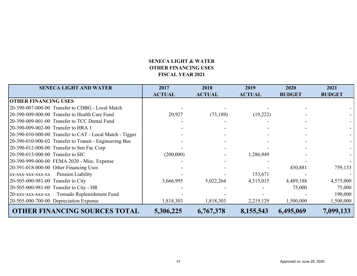# **SENECA LIGHT & WATEROTHER FINANCING USES FISCAL YEAR 2021**

| <b>SENECA LIGHT AND WATER</b>                            | 2017          | 2018          | 2019          | 2020          | 2021          |
|----------------------------------------------------------|---------------|---------------|---------------|---------------|---------------|
|                                                          | <b>ACTUAL</b> | <b>ACTUAL</b> | <b>ACTUAL</b> | <b>BUDGET</b> | <b>BUDGET</b> |
| <b>OTHER FINANCING USES</b>                              |               |               |               |               |               |
| 20-390-007-000-00 Transfer to CDBG - Local Match         |               |               |               |               |               |
| 20-390-009-000-00 Transfer to Health Care Fund           | 20,927        | (73,189)      | (19,222)      |               |               |
| 20-390-009-001-00 Transfer to TCC Dental Fund            |               |               |               |               |               |
| 20-390-009-002-00 Transfer to HRA 1                      |               |               |               |               |               |
| 20-390-010-000-00 Transfer to CAT - Local Match - Tigger |               |               |               |               |               |
| 20-390-010-000-02 Transfer to Transit - Engineering Bus  |               |               |               |               |               |
| 20-390-012-000-00 Transfer to Sen Fac Corp               |               |               |               |               |               |
| 20-390-013-000-00 Transfer to SIC                        | (200,000)     |               | 1,286,949     |               |               |
| 20-390-999-000-00 FEMA 2020 - Misc. Expense              |               |               |               |               |               |
| 20-391-018-000-00 Other Financing Uses                   |               |               |               | 430,881       | 759,133       |
| xx-xxx-xxx-xxx-xx Pension Liability                      |               |               | 153,671       |               |               |
| 20-505-000-981-00 Transfer to City                       | 3,666,995     | 5,022,264     | 4,515,015     | 4,489,188     | 4,575,000     |
| 20-505-000-981-00 Transfer to City - HR                  |               |               |               | 75,000        | 75,000        |
| 20-xxx-xxx-xxx-xx Tornado Replenishment Fund             |               |               |               |               | 190,000       |
| $20-505-000-700-00$ Depreciation Expense                 | 1,818,303     | 1,818,303     | 2,219,129     | 1,500,000     | 1,500,000     |
| <b>OTHER FINANCING SOURCES TOTAL</b>                     | 5,306,225     | 6,767,378     | 8,155,543     | 6,495,069     | 7,099,133     |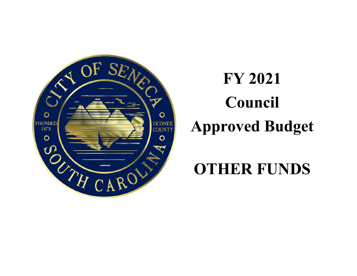

# **FY 2021 Council Approved Budget**

# **OTHER FUNDS**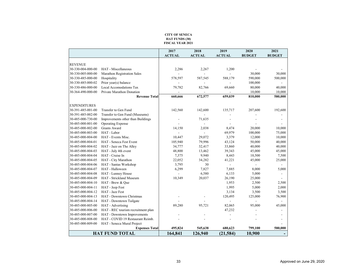#### **CITY OF SENECA HAT FUNDS (30) FISCAL YEAR 2021**

|                     |                                    | 2017          | 2018          | 2019           | 2020          | 2021                     |
|---------------------|------------------------------------|---------------|---------------|----------------|---------------|--------------------------|
|                     |                                    | <b>ACTUAL</b> | <b>ACTUAL</b> | <b>ACTUAL</b>  | <b>BUDGET</b> | <b>BUDGET</b>            |
|                     |                                    |               |               |                |               |                          |
| <b>REVENUE</b>      |                                    |               |               |                |               |                          |
| 30-330-004-000-00   | HAT - Miscellaneous                | 2,286         | 2,267         | 1,200          |               |                          |
| 30-330-005-000-00   | Marathon Registration Sales        |               |               |                | 30,000        | 30,000                   |
| 30-330-485-000-00   | Hospitality                        | 578,597       | 587,545       | 588,179        | 590,000       | 500,000                  |
| 30-330-485-000-02   | Prior year(s) balance              |               |               |                | 100,000       |                          |
| 30-330-486-000-00   | Local Accomodations Tax            | 79,782        | 82,766        | 69,660         | 80,000        | 40,000                   |
| 30-364-490-000-00   | Private Marathon Donation          |               |               |                | 10,000        | 10,000                   |
|                     | <b>Revenue Total</b>               | 660,666       | 672,577       | 659,039        | 810,000       | 580,000                  |
| <b>EXPENDITURES</b> |                                    |               |               |                |               |                          |
| 30-391-485-001-00   | Transfer to Gen Fund               | 142,560       | 142,600       | 135,717        | 207,600       | 192,600                  |
| 30-391-485-002-00   | Transfer to Gen Fund (Museums)     |               |               |                |               |                          |
| 30-485-000-730-00   | Improvements other than Buildings  |               | 71,635        |                |               |                          |
| 30-485-000-801-00   | <b>Operating Expense</b>           |               |               |                |               |                          |
| 30-485-000-802-00   | <b>Grants Award</b>                | 14,150        | 2,038         | 8,474          | 20,000        | 10,000                   |
| 30-485-000-803-00   | HAT - Labor                        |               |               | 69,979         | 100,000       | 75,000                   |
| 30-485-000-804-00   | HAT - Events Misc.                 | 10,447        | 29,072        | 3,379          | 12,000        | 10,000                   |
| 30-485-000-804-01   | HAT - Seneca Fest Event            | 105,940       | 79,996        | 43,124         | 50,000        | 40,000                   |
| 30-485-000-804-02   | HAT - Jazz on The Alley            | 34,777        | 32,417        | 33,860         | 40,000        | 40,000                   |
| 30-485-000-804-03   | HAT - July 4th event               | 48,800        | 13,462        | 39,343         | 45,000        | 45,000                   |
| 30-485-000-804-04   | HAT - Cruise In                    | 7,375         | 9,940         | 8,443          | 10,500        | 7,500                    |
| 30-485-000-804-05   | HAT - City Marathon                | 22,052        | 34,282        | 41,221         | 45,000        | 25,000                   |
| 30-485-000-804-06   | HAT - Santas Workshop              | 3,795         | 30            | $\overline{a}$ |               |                          |
| 30-485-000-804-07   | HAT - Halloween                    | 6,299         | 7,827         | 7,885          | 8,000         | 5,000                    |
| 30-485-000-804-08   | HAT - Lunney House                 |               | 6,580         | 6,133          | 5,000         | $\overline{\phantom{0}}$ |
| 30-485-000-804-09   | HAT - Strickland Museum            | 10,349        | 20,037        | 26,190         | 25,000        |                          |
| 30-485-000-804-10   | HAT - Brew & Que                   |               |               | 1,953          | 2,500         | 2,500                    |
| 30-485-000-804-11   | HAT - Jeep Fest                    |               |               | 1,995          | 5,000         | 2,000                    |
| 30-485-000-804-12   | HAT - Jazz Fest                    |               |               | 3,134          | 3,500         | 3,500                    |
| 30-485-000-804-13   | HAT - Downtown Christmas           |               |               | 120,495        | 125,000       | 76,900                   |
| 30-485-000-804-14   | HAT - Downtown Tailgate            |               |               |                |               |                          |
| 30-485-000-805-00   | HAT - Advertising                  | 89,280        | 95,721        | 82,065         | 95,000        | 45,000                   |
| 30-485-000-806-00   | HAT - REC tourism recruitment plan |               |               | 47,232         |               |                          |
| 30-485-000-807-00   | HAT - Downtown Improvements        |               |               |                |               |                          |
| 30-485-000-808-00   | HAT - COVID 19 Restaurant Reimb.   |               |               |                |               |                          |
| 30-485-000-809-00   | HAT - Seneca Mural Project         |               |               |                |               |                          |
|                     | <b>Expenses Total</b>              | 495,824       | 545,638       | 680,623        | 799,100       | 580,000                  |
|                     | <b>HAT FUND TOTAL</b>              | 164,841       | 126,940       | (21, 584)      | 10,900        | $\overline{\phantom{a}}$ |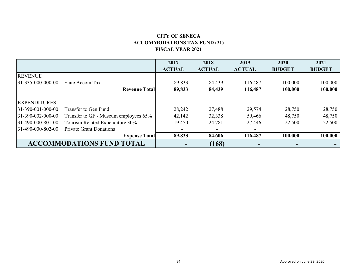# **CITY OF SENECA ACCOMMODATIONS TAX FUND (31) FISCAL YEAR 2021**

|                      |                                       | 2017                     | 2018                     | 2019          | 2020          | 2021          |
|----------------------|---------------------------------------|--------------------------|--------------------------|---------------|---------------|---------------|
|                      |                                       | <b>ACTUAL</b>            | <b>ACTUAL</b>            | <b>ACTUAL</b> | <b>BUDGET</b> | <b>BUDGET</b> |
| <b>REVENUE</b>       |                                       |                          |                          |               |               |               |
| 31-335-000-000-00    | State Accom Tax                       | 89,833                   | 84,439                   | 116,487       | 100,000       | 100,000       |
|                      | <b>Revenue Total</b>                  | 89,833                   | 84,439                   | 116,487       | 100,000       | 100,000       |
| <b>EXPENDITURES</b>  |                                       |                          |                          |               |               |               |
| $31-390-001-000-00$  | Transfer to Gen Fund                  | 28,242                   | 27,488                   | 29,574        | 28,750        | 28,750        |
| $31-390-002-000-00$  | Transfer to GF - Museum employees 65% | 42,142                   | 32,338                   | 59,466        | 48,750        | 48,750        |
| $ 31-490-000-801-00$ | Tourism Related Expenditure 30%       | 19,450                   | 24,781                   | 27,446        | 22,500        | 22,500        |
| 31-490-000-802-00    | <b>Private Grant Donations</b>        | $\overline{\phantom{a}}$ | $\overline{\phantom{a}}$ |               |               |               |
|                      | <b>Expense Total</b>                  | 89,833                   | 84,606                   | 116,487       | 100,000       | 100,000       |
|                      | <b>ACCOMMODATIONS FUND TOTAL</b>      |                          | (168)                    |               |               |               |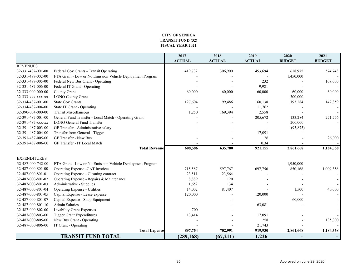#### **CITY OF SENECA TRANSIT FUND (32) FISCAL YEAR 2021**

|                     |                                                           | 2017          | 2018          | 2019          | 2020                     | 2021          |
|---------------------|-----------------------------------------------------------|---------------|---------------|---------------|--------------------------|---------------|
|                     |                                                           | <b>ACTUAL</b> | <b>ACTUAL</b> | <b>ACTUAL</b> | <b>BUDGET</b>            | <b>BUDGET</b> |
| <b>REVENUES</b>     |                                                           |               |               |               |                          |               |
| 32-331-487-001-00   | Federal Gov Grants - Transit Operating                    | 419,732       | 306,900       | 453,694       | 618,975                  | 574,743       |
| 32-331-487-002-00   | FTA Grant - Low or No Emission Vehicle Deployment Program |               |               |               | 1,450,000                |               |
| 32-331-487-005-00   | Federal New Bus Grant - Operating                         |               |               | 232           |                          | 109,000       |
| 32-331-487-006-00   | Federal IT Grant - Operating                              |               |               | 9,981         |                          |               |
| 32-333-000-000-00   | <b>County Grant</b>                                       | 60,000        | 60,000        | 60,000        | 60,000                   | 60,000        |
| 32-333-xxx-xxx-xx   | <b>LONO</b> County Grant                                  |               |               |               | 300,000                  |               |
| 32-334-487-001-00   | <b>State Gov Grants</b>                                   | 127,604       | 99,486        | 160,138       | 193,284                  | 142,859       |
| 32-334-487-004-00   | State IT Grant - Operating                                |               |               | 11,762        |                          |               |
| 32-390-004-000-00   | <b>Transit Miscellaneous</b>                              | 1,250         | 169,394       | 2,558         |                          |               |
| 32-391-487-001-00   | General Fund Transfer - Local Match - Operating Grant     |               |               | 205,672       | 133,284                  | 271,756       |
| 32-391-487-xxx-xx   | <b>LONO General Fund Transfer</b>                         |               |               |               | 200,000                  |               |
| 32-391-487-003-00   | GF Transfer - Administrative salary                       |               |               |               | (93, 875)                |               |
| 32-391-487-004-00   | Transfer from General - Tigger                            |               |               | 17,091        |                          |               |
| 32-391-487-005-00   | GF Transfer - New Bus                                     |               |               | 26            |                          | 26,000        |
| 32-391-487-006-00   | GF Transfer - IT Local Match                              |               |               | 0.34          |                          |               |
|                     | <b>Total Revenue</b>                                      | 608,586       | 635,780       | 921,155       | 2,861,668                | 1,184,358     |
|                     |                                                           |               |               |               |                          |               |
| <b>EXPENDITURES</b> |                                                           |               |               |               |                          |               |
| 32-487-000-742-00   | FTA Grant - Low or No Emission Vehicle Deployment Program |               |               |               | 1,950,000                |               |
| 32-487-000-801-00   | Operating Expense -CAT Invoices                           | 715,587       | 597,767       | 697,756       | 850,168                  | 1,009,358     |
| 32-487-000-801-01   | Operating Expense - Cleaning contract                     | 23,511        | 23,564        |               |                          |               |
| 32-487-000-801-02   | Operating Expense - Repairs & Maintenance                 | 8,889         | 120           |               |                          |               |
| 32-487-000-801-03   | Administrative - Supplies                                 | 1,652         | 134           |               |                          |               |
| 32-487-000-801-04   | <b>Operating Expense - Utilities</b>                      | 14,002        | 81,407        |               | 1,500                    | 40,000        |
| 32-487-000-801-05   | Capital Expense - Lease expense                           | 120,000       |               | 120,000       |                          |               |
| 32-487-000-801-07   | Capital Expense - Shop Equipment                          |               |               |               | 60,000                   |               |
| 32-487-000-801-10   | <b>Admin Salaries</b>                                     |               |               | 63,081        |                          |               |
| 32-487-000-802-00   | Livability Grant Expenses                                 | 700           |               |               |                          |               |
| 32-487-000-803-00   | <b>Tigger Grant Expenditures</b>                          | 13,414        |               | 17,091        |                          |               |
| 32-487-000-805-00   | New Bus Grant - Operating                                 |               |               | 258           |                          | 135,000       |
| 32-487-000-806-00   | IT Grant - Operating                                      |               |               | 21,743        |                          |               |
|                     | <b>Total Expense</b>                                      | 897,754       | 702,991       | 919,930       | 2,861,668                | 1,184,358     |
|                     | <b>TRANSIT FUND TOTAL</b>                                 | (289, 168)    | (67,211)      | 1,226         | $\overline{\phantom{0}}$ |               |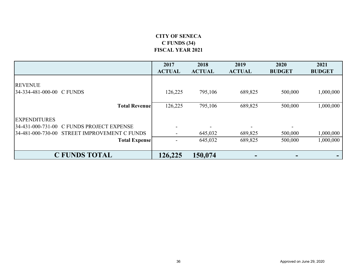# **CITY OF SENECA C FUNDS (34) FISCAL YEAR 2021**

|                                              | 2017          | 2018          | 2019          | 2020                     | 2021          |
|----------------------------------------------|---------------|---------------|---------------|--------------------------|---------------|
|                                              | <b>ACTUAL</b> | <b>ACTUAL</b> | <b>ACTUAL</b> | <b>BUDGET</b>            | <b>BUDGET</b> |
| <b>REVENUE</b><br>34-334-481-000-00 C FUNDS  | 126,225       | 795,106       | 689,825       | 500,000                  | 1,000,000     |
| <b>Total Revenue</b>                         | 126,225       | 795,106       | 689,825       | 500,000                  | 1,000,000     |
| <b>EXPENDITURES</b>                          |               |               |               |                          |               |
| 34-431-000-731-00 C FUNDS PROJECT EXPENSE    |               |               |               | $\overline{\phantom{0}}$ |               |
| 34-481-000-730-00 STREET IMPROVEMENT C FUNDS |               | 645,032       | 689,825       | 500,000                  | 1,000,000     |
| <b>Total Expense</b>                         |               | 645,032       | 689,825       | 500,000                  | 1,000,000     |
| <b>C FUNDS TOTAL</b>                         | 126,225       | 150,074       |               |                          |               |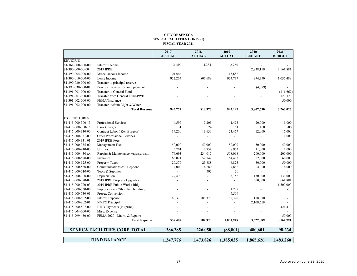#### **CITY OF SENECA SENECA FACILITIES CORP (81) FISCAL YEAR 2021**

|                     |                                             | 2017                     | 2018          | 2019           | 2020                     | 2021          |
|---------------------|---------------------------------------------|--------------------------|---------------|----------------|--------------------------|---------------|
|                     |                                             | <b>ACTUAL</b>            | <b>ACTUAL</b> | <b>ACTUAL</b>  | <b>BUDGET</b>            | <b>BUDGET</b> |
| <b>REVENUE</b>      |                                             |                          |               |                |                          |               |
| 81-361-000-000-00   | Interest Income                             | 2,465                    | 4,284         | 2,724          |                          |               |
| 81-390-000-00-00    | 2019 IPRB                                   |                          |               |                | 2,838,119                | 2,161,881     |
| 81-390-004-000-00   | Miscellaneous Income                        | 21,046                   |               | 15,686         |                          |               |
| 81-390-010-000-00   | Lease Income                                | 922,264                  | 806,689       | 924,737        | 974,350                  | 1,035,488     |
| 81-390-030-000-00   | Transfer to principal reserve               |                          |               |                |                          |               |
| 81-390-030-000-01   | Principal savings for loan payment          |                          |               |                | (4,779)                  |               |
| 81-391-001-000-00   | Transfer to General Fund                    |                          |               |                |                          | (111,667)     |
| 81-391-001-000-00   | Transfer from General Fund-PWB              |                          |               |                |                          | 127,323       |
| 81-391-002-000-00   | FEMA/Insurance                              |                          |               |                |                          | 50,000        |
| 81-391-002-000-00   | Transfer to/from Light & Water              |                          |               |                |                          |               |
|                     | <b>Total Revenue</b>                        | 945,774                  | 810,973       | 943,147        | 3,807,690                | 3,263,025     |
| <b>EXPENDITURES</b> |                                             |                          |               |                |                          |               |
| 81-415-000-300-13   | Professional Services                       | 4,597                    | 7,205         | 1,473          | 20,000                   | 5,000         |
| 81-415-000-300-15   | <b>Bank Charges</b>                         | 31                       | 24            | 54             | 100                      | 500           |
| 81-415-000-330-00   | Contract Labor (Ken Burgess)                | 14,200                   | 13,650        | 23,457         | 12,000                   | 15,000        |
| 81-415-000-331-00   | Other Professional Services                 | $\overline{\phantom{a}}$ |               | $\overline{a}$ | $\overline{\phantom{0}}$ | 1,000         |
| 81-415-000-331-01   | 2019 IPRB Fees                              | $\overline{a}$           |               |                |                          |               |
| 81-415-000-335-00   | Management Fees                             | 50,000                   | 50,000        | 50,000         | 50,000                   | 50,000        |
| 81-415-000-410-00   | Utilities                                   | 5,701                    | 10,754        | 8,973          | 11,000                   | 11,000        |
| 81-415-000-430-xx   | Repairs & Maintenance *Multiple upfit lines | 76,693                   | 234,017       | 508,068        | 200,000                  | 200,000       |
| 81-415-000-520-00   | Insurance                                   | 66,021                   | 52,142        | 54,473         | 52,000                   | 60,000        |
| 81-415-000-525-00   | <b>Property Taxes</b>                       | 20,379                   | 23,888        | 46,823         | 50,000                   | 50,000        |
| 81-415-000-530-00   | Communications & Telephone                  | 4,000                    | 4,280         | 4,866          | 4,000                    | 6,000         |
| 81-415-000-610-00   | Tools & Supplies                            |                          | 592           | 20             |                          |               |
| 81-415-000-700-00   | Depreciation                                | 129,498                  |               | 133,152        | 130,000                  | 130,000       |
| 81-415-000-720-02   | 2019 IPRB Property Upgrades                 |                          |               |                | 500,000                  | 661,881       |
| 81-415-000-720-03   | 2019 IPRB Public Works Bldg                 |                          |               |                |                          | 1,500,000     |
| 81-415-000-730-00   | Improvements Other than buildings           |                          |               | 4,709          |                          |               |
| 81-415-000-730-01   | Propex Conversion                           |                          |               | 7,509          |                          |               |
| 81-415-000-802-00   | <b>Interest Expense</b>                     | 188,370                  | 188,370       | 188,370        | 188,370                  |               |
| 81-415-000-802-01   | <b>NMTC</b> Principal                       |                          |               |                | 2,109,619                |               |
| 81-415-000-807-00   | IPRB Payments (int/princ)                   |                          |               |                |                          | 424,410       |
| 81-415-004-000-00   | Misc. Expense                               |                          |               |                |                          |               |
| 81-415-999-430-00   | FEMA 2020 - Maint. & Repairs                |                          |               |                |                          | 50,000        |
|                     | <b>Total Expense</b>                        | 559,489                  | 584,923       | 1,031,948      | 3,327,089                | 3,164,791     |
|                     | <b>SENECA FACILITIES CORP TOTAL</b>         | 386,285                  | 226,050       | (88, 801)      | 480,601                  | 98,234        |
|                     |                                             |                          |               |                |                          |               |
|                     | <b>FUND BALANCE</b>                         | 1,247,776                | 1,473,826     | 1,385,025      | 1,865,626                | 1,483,260     |